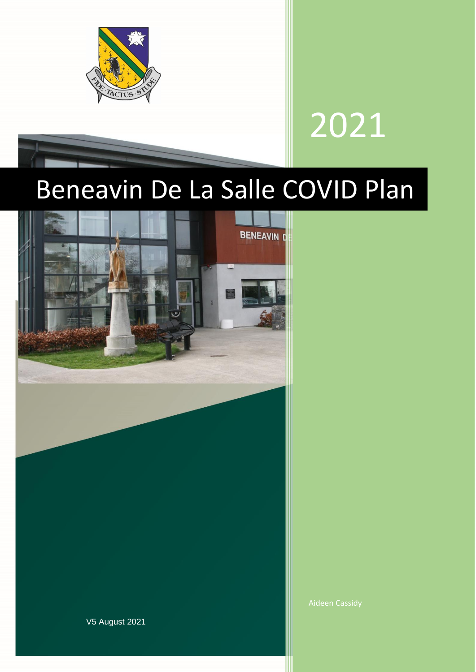

# 2021

## Beneavin De La Salle COVID Plan

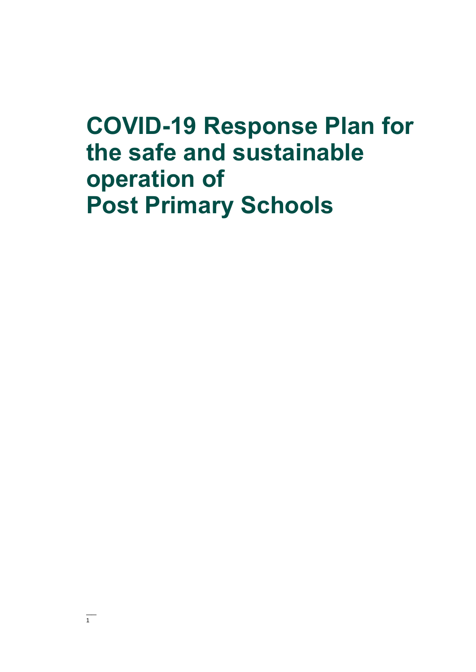## **COVID-19 Response Plan for the safe and sustainable operation of Post Primary Schools**

 $\frac{1}{1}$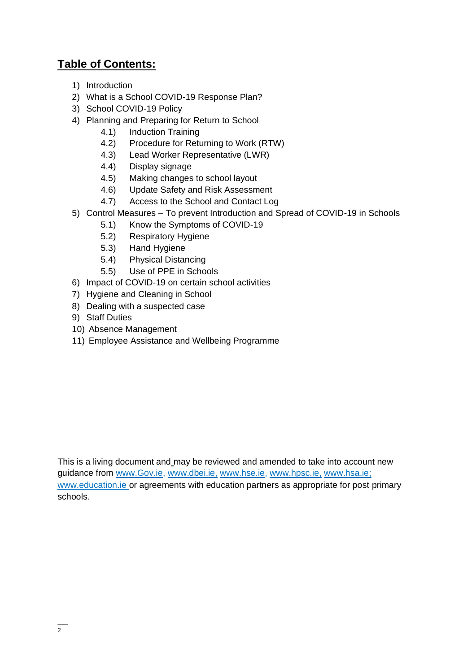## **Table of Contents:**

- 1) Introduction
- 2) What is a School COVID-19 Response Plan?
- 3) School COVID-19 Policy
- 4) Planning and Preparing for Return to School
	- 4.1) Induction Training
	- 4.2) Procedure for Returning to Work (RTW)
	- 4.3) Lead Worker Representative (LWR)
	- 4.4) Display signage
	- 4.5) Making changes to school layout
	- 4.6) Update Safety and Risk Assessment
	- 4.7) Access to the School and Contact Log
- 5) Control Measures To prevent Introduction and Spread of COVID-19 in Schools
	- 5.1) Know the Symptoms of COVID-19
	- 5.2) Respiratory Hygiene
	- 5.3) Hand Hygiene
	- 5.4) Physical Distancing
	- 5.5) Use of PPE in Schools
- 6) Impact of COVID-19 on certain school activities
- 7) Hygiene and Cleaning in School
- 8) Dealing with a suspected case
- 9) Staff Duties
- 10) Absence Management
- 11) Employee Assistance and Wellbeing Programme

This is a living document and may be reviewed and amended to take into account new guidance from [www.Gov.ie,](http://www.gov.ie/) [www.dbei.ie,](http://www.dbei.ie/) [www.hse.ie,](http://www.hse.ie/) [www.hpsc.ie,](http://www.hpsc.ie/) [www.hsa.ie;](http://www.hsa.ie/) [www.education.ie](http://www.education.ie/) or agreements with education partners as appropriate for post primary schools.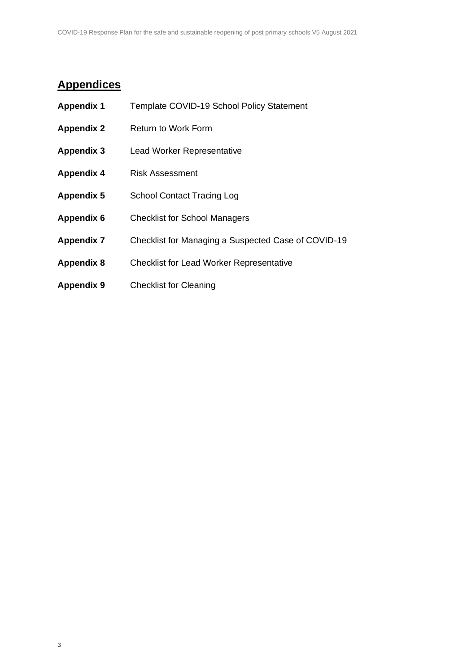## **Appendices**

| <b>Appendix 1</b> | Template COVID-19 School Policy Statement           |
|-------------------|-----------------------------------------------------|
| <b>Appendix 2</b> | <b>Return to Work Form</b>                          |
| <b>Appendix 3</b> | <b>Lead Worker Representative</b>                   |
| <b>Appendix 4</b> | <b>Risk Assessment</b>                              |
| <b>Appendix 5</b> | <b>School Contact Tracing Log</b>                   |
| <b>Appendix 6</b> | <b>Checklist for School Managers</b>                |
| <b>Appendix 7</b> | Checklist for Managing a Suspected Case of COVID-19 |
| <b>Appendix 8</b> | <b>Checklist for Lead Worker Representative</b>     |
| <b>Appendix 9</b> | <b>Checklist for Cleaning</b>                       |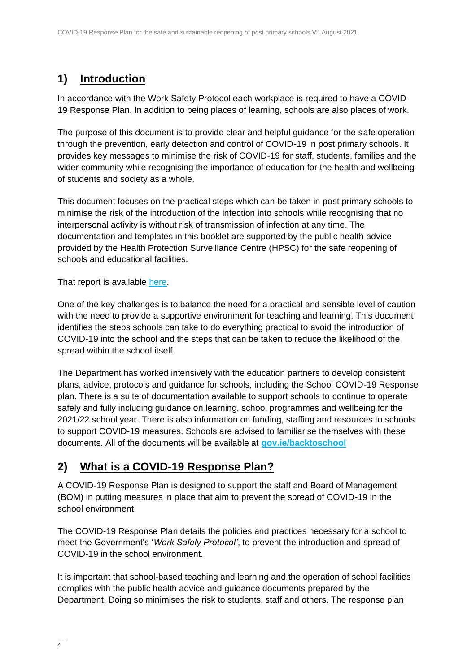## **1) Introduction**

In accordance with the Work Safety Protocol each workplace is required to have a COVID-19 Response Plan. In addition to being places of learning, schools are also places of work.

The purpose of this document is to provide clear and helpful guidance for the safe operation through the prevention, early detection and control of COVID-19 in post primary schools. It provides key messages to minimise the risk of COVID-19 for staff, students, families and the wider community while recognising the importance of education for the health and wellbeing of students and society as a whole.

This document focuses on the practical steps which can be taken in post primary schools to minimise the risk of the introduction of the infection into schools while recognising that no interpersonal activity is without risk of transmission of infection at any time. The documentation and templates in this booklet are supported by the public health advice provided by the Health Protection Surveillance Centre (HPSC) for the safe reopening of schools and educational facilities.

That report is available [here.](https://assets.gov.ie/82096/38b543b3-3245-4227-8f6a-7a167e684adb.pdf)

One of the key challenges is to balance the need for a practical and sensible level of caution with the need to provide a supportive environment for teaching and learning. This document identifies the steps schools can take to do everything practical to avoid the introduction of COVID-19 into the school and the steps that can be taken to reduce the likelihood of the spread within the school itself.

The Department has worked intensively with the education partners to develop consistent plans, advice, protocols and guidance for schools, including the School COVID-19 Response plan. There is a suite of documentation available to support schools to continue to operate safely and fully including guidance on learning, school programmes and wellbeing for the 2021/22 school year. There is also information on funding, staffing and resources to schools to support COVID-19 measures. Schools are advised to familiarise themselves with these documents. All of the documents will be available at **[gov.ie/backtoschool](http://www.gov.ie/backtoschool)**

## **2) What is a COVID-19 Response Plan?**

A COVID-19 Response Plan is designed to support the staff and Board of Management (BOM) in putting measures in place that aim to prevent the spread of COVID-19 in the school environment

The COVID-19 Response Plan details the policies and practices necessary for a school to meet the Government's '*Work Safely Protocol'*, to prevent the introduction and spread of COVID-19 in the school environment.

It is important that school-based teaching and learning and the operation of school facilities complies with the public health advice and guidance documents prepared by the Department. Doing so minimises the risk to students, staff and others. The response plan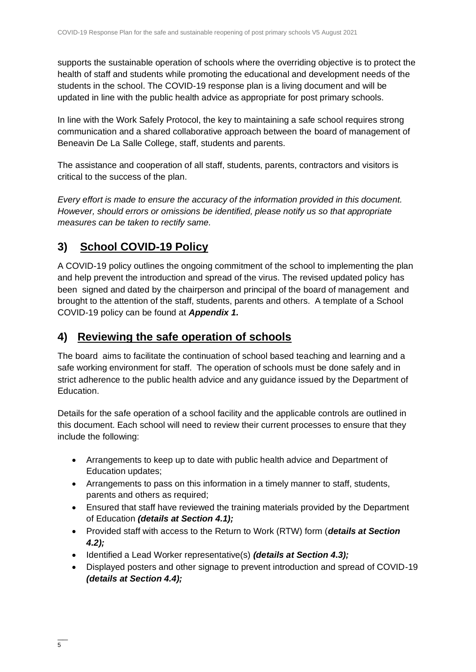supports the sustainable operation of schools where the overriding objective is to protect the health of staff and students while promoting the educational and development needs of the students in the school. The COVID-19 response plan is a living document and will be updated in line with the public health advice as appropriate for post primary schools.

In line with the Work Safely Protocol, the key to maintaining a safe school requires strong communication and a shared collaborative approach between the board of management of Beneavin De La Salle College, staff, students and parents.

The assistance and cooperation of all staff, students, parents, contractors and visitors is critical to the success of the plan.

*Every effort is made to ensure the accuracy of the information provided in this document. However, should errors or omissions be identified, please notify us so that appropriate measures can be taken to rectify same.*

## **3) School COVID-19 Policy**

A COVID-19 policy outlines the ongoing commitment of the school to implementing the plan and help prevent the introduction and spread of the virus. The revised updated policy has been signed and dated by the chairperson and principal of the board of management and brought to the attention of the staff, students, parents and others. A template of a School COVID-19 policy can be found at *Appendix 1.*

## **4) Reviewing the safe operation of schools**

The board aims to facilitate the continuation of school based teaching and learning and a safe working environment for staff. The operation of schools must be done safely and in strict adherence to the public health advice and any guidance issued by the Department of Education.

Details for the safe operation of a school facility and the applicable controls are outlined in this document. Each school will need to review their current processes to ensure that they include the following:

- Arrangements to keep up to date with public health advice and Department of Education updates;
- Arrangements to pass on this information in a timely manner to staff, students, parents and others as required;
- Ensured that staff have reviewed the training materials provided by the Department of Education *(details at Section 4.1);*
- Provided staff with access to the Return to Work (RTW) form (*details at Section 4.2);*
- Identified a Lead Worker representative(s) *(details at Section 4.3);*
- Displayed posters and other signage to prevent introduction and spread of COVID-19 *(details at Section 4.4);*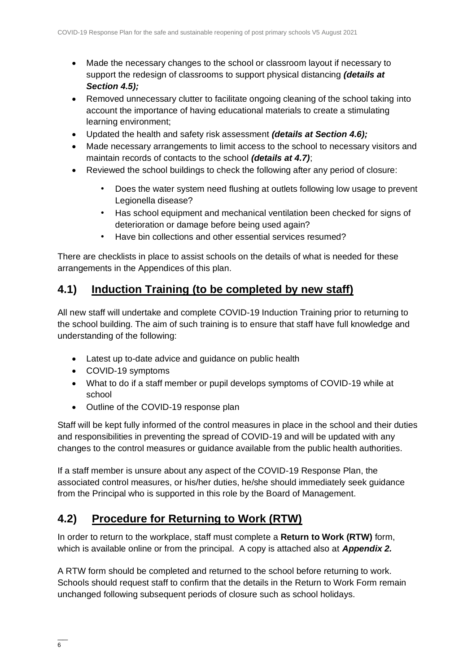- Made the necessary changes to the school or classroom layout if necessary to support the redesign of classrooms to support physical distancing *(details at Section 4.5);*
- Removed unnecessary clutter to facilitate ongoing cleaning of the school taking into account the importance of having educational materials to create a stimulating learning environment;
- Updated the health and safety risk assessment *(details at Section 4.6);*
- Made necessary arrangements to limit access to the school to necessary visitors and maintain records of contacts to the school *(details at 4.7)*;
- Reviewed the school buildings to check the following after any period of closure:
	- Does the water system need flushing at outlets following low usage to prevent Legionella disease?
	- Has school equipment and mechanical ventilation been checked for signs of deterioration or damage before being used again?
	- Have bin collections and other essential services resumed?

There are checklists in place to assist schools on the details of what is needed for these arrangements in the Appendices of this plan.

## **4.1) Induction Training (to be completed by new staff)**

All new staff will undertake and complete COVID-19 Induction Training prior to returning to the school building. The aim of such training is to ensure that staff have full knowledge and understanding of the following:

- Latest up to-date advice and guidance on public health
- COVID-19 symptoms
- What to do if a staff member or pupil develops symptoms of COVID-19 while at school
- Outline of the COVID-19 response plan

Staff will be kept fully informed of the control measures in place in the school and their duties and responsibilities in preventing the spread of COVID-19 and will be updated with any changes to the control measures or guidance available from the public health authorities.

If a staff member is unsure about any aspect of the COVID-19 Response Plan, the associated control measures, or his/her duties, he/she should immediately seek guidance from the Principal who is supported in this role by the Board of Management.

## **4.2) Procedure for Returning to Work (RTW)**

In order to return to the workplace, staff must complete a **Return to Work (RTW)** form, which is available online or from the principal. A copy is attached also at *Appendix 2.*

A RTW form should be completed and returned to the school before returning to work. Schools should request staff to confirm that the details in the Return to Work Form remain unchanged following subsequent periods of closure such as school holidays.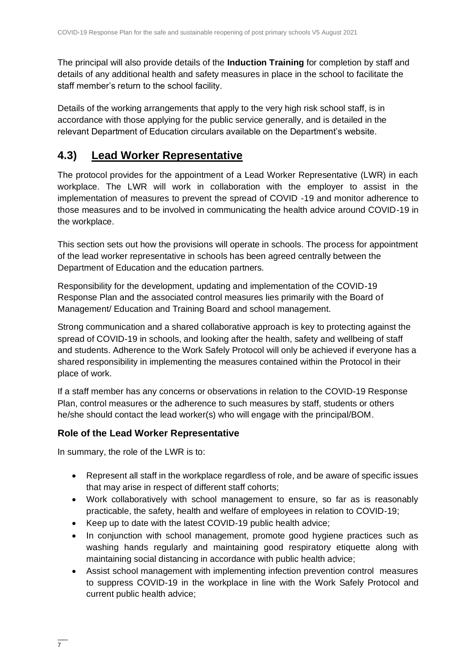The principal will also provide details of the **Induction Training** for completion by staff and details of any additional health and safety measures in place in the school to facilitate the staff member's return to the school facility.

Details of the working arrangements that apply to the very high risk school staff, is in accordance with those applying for the public service generally, and is detailed in the relevant Department of Education circulars available on the Department's website.

## **4.3) Lead Worker Representative**

The protocol provides for the appointment of a Lead Worker Representative (LWR) in each workplace. The LWR will work in collaboration with the employer to assist in the implementation of measures to prevent the spread of COVID -19 and monitor adherence to those measures and to be involved in communicating the health advice around COVID-19 in the workplace.

This section sets out how the provisions will operate in schools. The process for appointment of the lead worker representative in schools has been agreed centrally between the Department of Education and the education partners.

Responsibility for the development, updating and implementation of the COVID-19 Response Plan and the associated control measures lies primarily with the Board of Management/ Education and Training Board and school management.

Strong communication and a shared collaborative approach is key to protecting against the spread of COVID-19 in schools, and looking after the health, safety and wellbeing of staff and students. Adherence to the Work Safely Protocol will only be achieved if everyone has a shared responsibility in implementing the measures contained within the Protocol in their place of work.

If a staff member has any concerns or observations in relation to the COVID-19 Response Plan, control measures or the adherence to such measures by staff, students or others he/she should contact the lead worker(s) who will engage with the principal/BOM.

#### **Role of the Lead Worker Representative**

In summary, the role of the LWR is to:

- Represent all staff in the workplace regardless of role, and be aware of specific issues that may arise in respect of different staff cohorts;
- Work collaboratively with school management to ensure, so far as is reasonably practicable, the safety, health and welfare of employees in relation to COVID-19;
- Keep up to date with the latest COVID-19 public health advice;
- In conjunction with school management, promote good hygiene practices such as washing hands regularly and maintaining good respiratory etiquette along with maintaining social distancing in accordance with public health advice;
- Assist school management with implementing infection prevention control measures to suppress COVID-19 in the workplace in line with the Work Safely Protocol and current public health advice;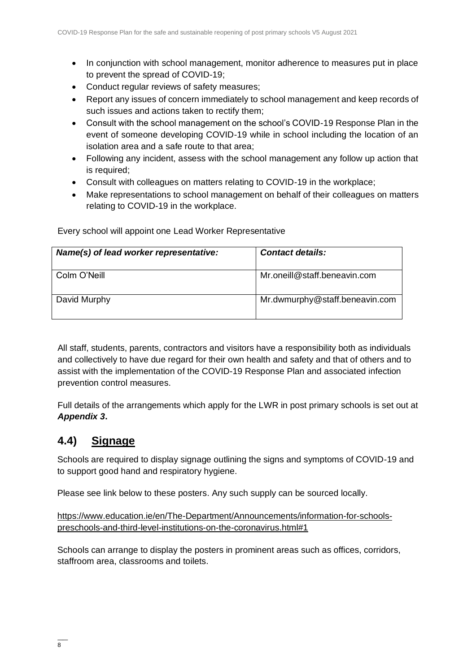- In conjunction with school management, monitor adherence to measures put in place to prevent the spread of COVID-19;
- Conduct regular reviews of safety measures;
- Report any issues of concern immediately to school management and keep records of such issues and actions taken to rectify them;
- Consult with the school management on the school's COVID-19 Response Plan in the event of someone developing COVID-19 while in school including the location of an isolation area and a safe route to that area;
- Following any incident, assess with the school management any follow up action that is required;
- Consult with colleagues on matters relating to COVID-19 in the workplace;
- Make representations to school management on behalf of their colleagues on matters relating to COVID-19 in the workplace.

Every school will appoint one Lead Worker Representative

| Name(s) of lead worker representative: | <b>Contact details:</b>        |
|----------------------------------------|--------------------------------|
| Colm O'Neill                           | Mr.oneill@staff.beneavin.com   |
| David Murphy                           | Mr.dwmurphy@staff.beneavin.com |

All staff, students, parents, contractors and visitors have a responsibility both as individuals and collectively to have due regard for their own health and safety and that of others and to assist with the implementation of the COVID-19 Response Plan and associated infection prevention control measures.

Full details of the arrangements which apply for the LWR in post primary schools is set out at *Appendix 3***.**

## **4.4) Signage**

Schools are required to display signage outlining the signs and symptoms of COVID-19 and to support good hand and respiratory hygiene.

Please see link below to these posters. Any such supply can be sourced locally.

[https://www.education.ie/en/The-Department/Announcements/information-for-schools](https://www.education.ie/en/The-Department/Announcements/information-for-schools-preschools-and-third-level-institutions-on-the-coronavirus.html#1)[preschools-and-third-level-institutions-on-the-coronavirus.html#1](https://www.education.ie/en/The-Department/Announcements/information-for-schools-preschools-and-third-level-institutions-on-the-coronavirus.html#1)

Schools can arrange to display the posters in prominent areas such as offices, corridors, staffroom area, classrooms and toilets.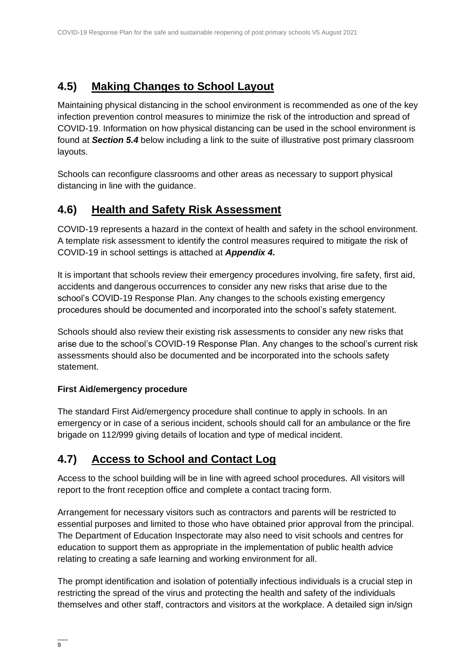## **4.5) Making Changes to School Layout**

Maintaining physical distancing in the school environment is recommended as one of the key infection prevention control measures to minimize the risk of the introduction and spread of COVID-19. Information on how physical distancing can be used in the school environment is found at *Section 5.4* below including a link to the suite of illustrative post primary classroom layouts.

Schools can reconfigure classrooms and other areas as necessary to support physical distancing in line with the guidance.

## **4.6) Health and Safety Risk Assessment**

COVID-19 represents a hazard in the context of health and safety in the school environment. A template risk assessment to identify the control measures required to mitigate the risk of COVID-19 in school settings is attached at *Appendix 4.*

It is important that schools review their emergency procedures involving, fire safety, first aid, accidents and dangerous occurrences to consider any new risks that arise due to the school's COVID-19 Response Plan. Any changes to the schools existing emergency procedures should be documented and incorporated into the school's safety statement.

Schools should also review their existing risk assessments to consider any new risks that arise due to the school's COVID-19 Response Plan. Any changes to the school's current risk assessments should also be documented and be incorporated into the schools safety statement.

#### **First Aid/emergency procedure**

The standard First Aid/emergency procedure shall continue to apply in schools. In an emergency or in case of a serious incident, schools should call for an ambulance or the fire brigade on 112/999 giving details of location and type of medical incident.

## **4.7) Access to School and Contact Log**

Access to the school building will be in line with agreed school procedures. All visitors will report to the front reception office and complete a contact tracing form.

Arrangement for necessary visitors such as contractors and parents will be restricted to essential purposes and limited to those who have obtained prior approval from the principal. The Department of Education Inspectorate may also need to visit schools and centres for education to support them as appropriate in the implementation of public health advice relating to creating a safe learning and working environment for all.

The prompt identification and isolation of potentially infectious individuals is a crucial step in restricting the spread of the virus and protecting the health and safety of the individuals themselves and other staff, contractors and visitors at the workplace. A detailed sign in/sign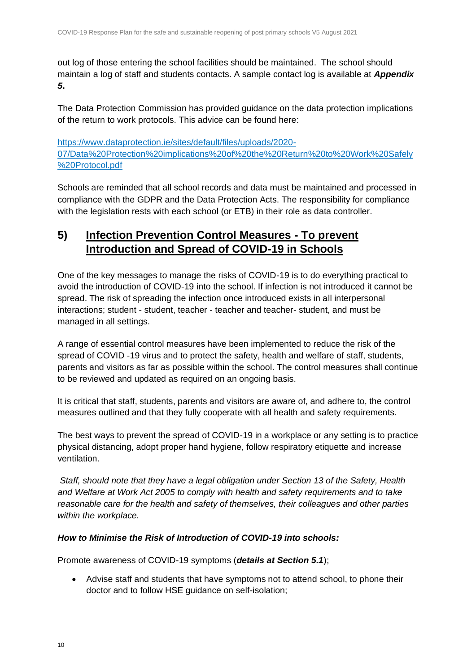out log of those entering the school facilities should be maintained. The school should maintain a log of staff and students contacts. A sample contact log is available at *Appendix 5***.** 

The Data Protection Commission has provided guidance on the data protection implications of the return to work protocols. This advice can be found here:

[https://www.dataprotection.ie/sites/default/files/uploads/2020-](https://www.dataprotection.ie/sites/default/files/uploads/2020-07/Data%20Protection%20implications%20of%20the%20Return%20to%20Work%20Safely%20Protocol.pdf) [07/Data%20Protection%20implications%20of%20the%20Return%20to%20Work%20Safely](https://www.dataprotection.ie/sites/default/files/uploads/2020-07/Data%20Protection%20implications%20of%20the%20Return%20to%20Work%20Safely%20Protocol.pdf) [%20Protocol.pdf](https://www.dataprotection.ie/sites/default/files/uploads/2020-07/Data%20Protection%20implications%20of%20the%20Return%20to%20Work%20Safely%20Protocol.pdf)

Schools are reminded that all school records and data must be maintained and processed in compliance with the GDPR and the Data Protection Acts. The responsibility for compliance with the legislation rests with each school (or ETB) in their role as data controller.

## **5) Infection Prevention Control Measures - To prevent Introduction and Spread of COVID-19 in Schools**

One of the key messages to manage the risks of COVID-19 is to do everything practical to avoid the introduction of COVID-19 into the school. If infection is not introduced it cannot be spread. The risk of spreading the infection once introduced exists in all interpersonal interactions; student - student, teacher - teacher and teacher- student, and must be managed in all settings.

A range of essential control measures have been implemented to reduce the risk of the spread of COVID -19 virus and to protect the safety, health and welfare of staff, students, parents and visitors as far as possible within the school. The control measures shall continue to be reviewed and updated as required on an ongoing basis.

It is critical that staff, students, parents and visitors are aware of, and adhere to, the control measures outlined and that they fully cooperate with all health and safety requirements.

The best ways to prevent the spread of COVID-19 in a workplace or any setting is to practice physical distancing, adopt proper hand hygiene, follow respiratory etiquette and increase ventilation.

*Staff, should note that they have a legal obligation under Section 13 of the Safety, Health and Welfare at Work Act 2005 to comply with health and safety requirements and to take reasonable care for the health and safety of themselves, their colleagues and other parties within the workplace.* 

#### *How to Minimise the Risk of Introduction of COVID-19 into schools:*

Promote awareness of COVID-19 symptoms (*details at Section 5.1*);

• Advise staff and students that have symptoms not to attend school, to phone their doctor and to follow HSE guidance on self-isolation;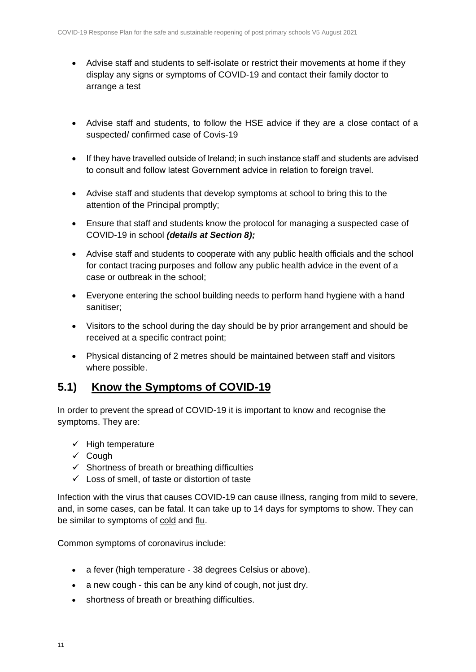- Advise staff and students to self-isolate or restrict their movements at home if they display any signs or symptoms of COVID-19 and contact their family doctor to arrange a test
- Advise staff and students, to follow the HSE advice if they are a close contact of a suspected/ confirmed case of Covis-19
- If they have travelled outside of Ireland; in such instance staff and students are advised to consult and follow latest Government advice in relation to foreign travel.
- Advise staff and students that develop symptoms at school to bring this to the attention of the Principal promptly;
- Ensure that staff and students know the protocol for managing a suspected case of COVID-19 in school *(details at Section 8);*
- Advise staff and students to cooperate with any public health officials and the school for contact tracing purposes and follow any public health advice in the event of a case or outbreak in the school;
- Everyone entering the school building needs to perform hand hygiene with a hand sanitiser;
- Visitors to the school during the day should be by prior arrangement and should be received at a specific contract point;
- Physical distancing of 2 metres should be maintained between staff and visitors where possible.

## **5.1) Know the Symptoms of COVID-19**

In order to prevent the spread of COVID-19 it is important to know and recognise the symptoms. They are:

- $\checkmark$  High temperature
- $\checkmark$  Cough
- $\checkmark$  Shortness of breath or breathing difficulties
- $\checkmark$  Loss of smell, of taste or distortion of taste

Infection with the virus that causes COVID-19 can cause illness, ranging from mild to severe, and, in some cases, can be fatal. It can take up to 14 days for symptoms to show. They can be similar to symptoms of [cold](https://www2.hse.ie/conditions/common-cold.html) and [flu.](https://www2.hse.ie/conditions/flu/flu-symptoms-and-diagnosis.html)

Common symptoms of coronavirus include:

- a fever (high temperature 38 degrees Celsius or above).
- a new cough this can be any kind of cough, not just dry.
- shortness of breath or breathing difficulties.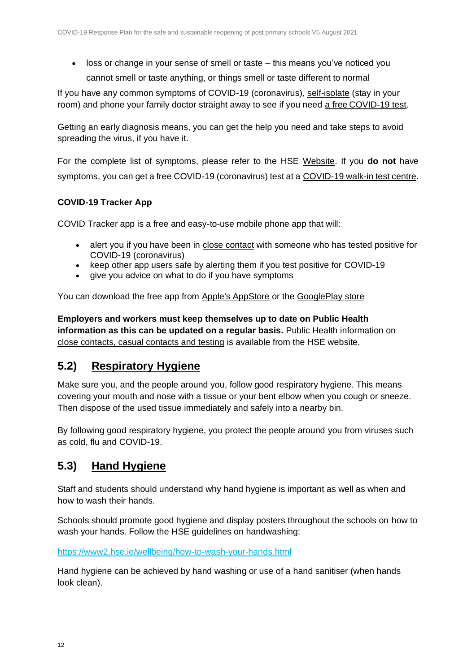• loss or change in your sense of smell or taste – this means you've noticed you cannot smell or taste anything, or things smell or taste different to normal

If you have any common symptoms of COVID-19 (coronavirus), [self-isolate](https://www2.hse.ie/conditions/coronavirus/self-isolation/how-to-self-isolate.html) (stay in your room) and phone your family doctor straight away to see if you need a free [COVID-19 test.](https://www2.hse.ie/conditions/coronavirus/testing/how-to-get-tested.html)

Getting an early diagnosis means, you can get the help you need and take steps to avoid spreading the virus, if you have it.

For the complete list of symptoms, please refer to the HSE [Website.](https://www2.hse.ie/conditions/coronavirus/symptoms.html) If you **do not** have symptoms, you can get a free COVID-19 (coronavirus) test at a [COVID-19 walk-in test centre.](https://www2.hse.ie/conditions/coronavirus/testing/covid-19-walk-in-test-centres.html)

#### **COVID-19 Tracker App**

COVID Tracker app is a free and easy-to-use mobile phone app that will:

- alert you if you have been in [close contact](https://www2.hse.ie/conditions/coronavirus/close-contact-and-casual-contact.html) with someone who has tested positive for COVID-19 (coronavirus)
- keep other app users safe by alerting them if you test positive for COVID-19
- give you advice on what to do if you have symptoms

You can download the free app from [Apple's AppStore](https://apps.apple.com/ie/app/covid-tracker-ireland/id1505596721) or the [GooglePlay store](https://play.google.com/store/apps/details?id=com.covidtracker.hse)

**Employers and workers must keep themselves up to date on Public Health information as this can be updated on a regular basis.** Public Health information on [close contacts, casual contacts and testing](https://www2.hse.ie/conditions/coronavirus/close-contact-and-casual-contact.html) is available from the HSE website.

## **5.2) Respiratory Hygiene**

Make sure you, and the people around you, follow good respiratory hygiene. This means covering your mouth and nose with a tissue or your bent elbow when you cough or sneeze. Then dispose of the used tissue immediately and safely into a nearby bin.

By following good respiratory hygiene, you protect the people around you from viruses such as cold, flu and COVID-19.

## **5.3) Hand Hygiene**

Staff and students should understand why hand hygiene is important as well as when and how to wash their hands.

Schools should promote good hygiene and display posters throughout the schools on how to wash your hands. Follow the HSE guidelines on handwashing:

<https://www2.hse.ie/wellbeing/how-to-wash-your-hands.html>

Hand hygiene can be achieved by hand washing or use of a hand sanitiser (when hands look clean).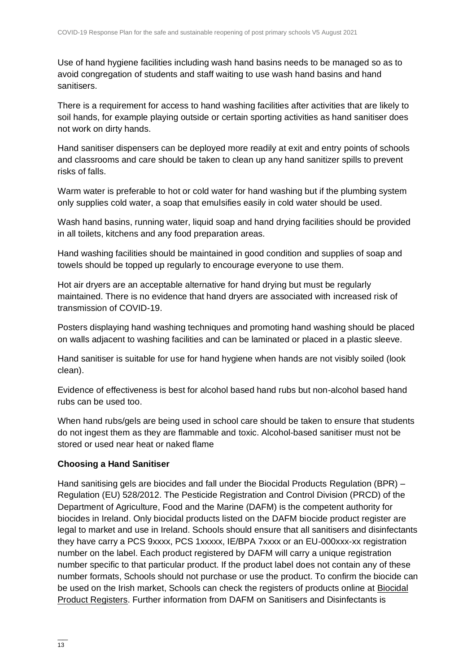Use of hand hygiene facilities including wash hand basins needs to be managed so as to avoid congregation of students and staff waiting to use wash hand basins and hand sanitisers.

There is a requirement for access to hand washing facilities after activities that are likely to soil hands, for example playing outside or certain sporting activities as hand sanitiser does not work on dirty hands.

Hand sanitiser dispensers can be deployed more readily at exit and entry points of schools and classrooms and care should be taken to clean up any hand sanitizer spills to prevent risks of falls.

Warm water is preferable to hot or cold water for hand washing but if the plumbing system only supplies cold water, a soap that emulsifies easily in cold water should be used.

Wash hand basins, running water, liquid soap and hand drying facilities should be provided in all toilets, kitchens and any food preparation areas.

Hand washing facilities should be maintained in good condition and supplies of soap and towels should be topped up regularly to encourage everyone to use them.

Hot air dryers are an acceptable alternative for hand drying but must be regularly maintained. There is no evidence that hand dryers are associated with increased risk of transmission of COVID-19.

Posters displaying hand washing techniques and promoting hand washing should be placed on walls adjacent to washing facilities and can be laminated or placed in a plastic sleeve.

Hand sanitiser is suitable for use for hand hygiene when hands are not visibly soiled (look clean).

Evidence of effectiveness is best for alcohol based hand rubs but non-alcohol based hand rubs can be used too.

When hand rubs/gels are being used in school care should be taken to ensure that students do not ingest them as they are flammable and toxic. Alcohol-based sanitiser must not be stored or used near heat or naked flame

#### **Choosing a Hand Sanitiser**

Hand sanitising gels are biocides and fall under the Biocidal Products Regulation (BPR) – Regulation (EU) 528/2012. The Pesticide Registration and Control Division (PRCD) of the Department of Agriculture, Food and the Marine (DAFM) is the competent authority for biocides in Ireland. Only biocidal products listed on the DAFM biocide product register are legal to market and use in Ireland. Schools should ensure that all sanitisers and disinfectants they have carry a PCS 9xxxx, PCS 1xxxxx, IE/BPA 7xxxx or an EU-000xxx-xx registration number on the label. Each product registered by DAFM will carry a unique registration number specific to that particular product. If the product label does not contain any of these number formats, Schools should not purchase or use the product. To confirm the biocide can be used on the Irish market, Schools can check the registers of products online at [Biocidal](https://www.pcs.agriculture.gov.ie/registers/biocidalproductregisters/)  [Product Registers.](https://www.pcs.agriculture.gov.ie/registers/biocidalproductregisters/) Further information from DAFM on Sanitisers and Disinfectants is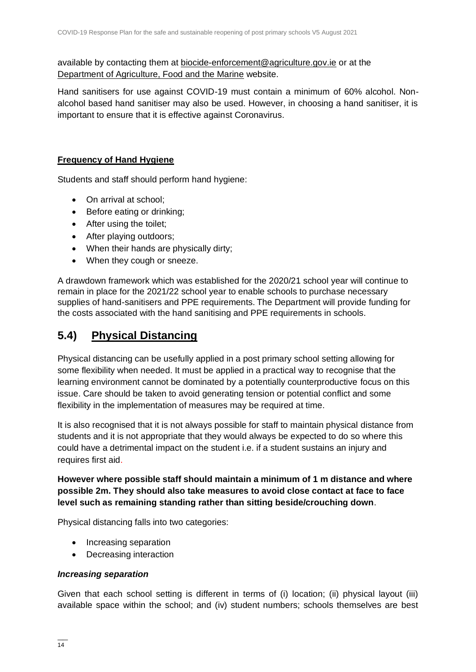available by contacting them at [biocide-enforcement@agriculture.gov.ie](mailto:biocide-enforcement@agriculture.gov.ie) or at the [Department of Agriculture, Food and the Marine](https://www.agriculture.gov.ie/customerservice/coronaviruscovid-19/handsanitisersanddisinfectants/) website.

Hand sanitisers for use against COVID-19 must contain a minimum of 60% alcohol. Nonalcohol based hand sanitiser may also be used. However, in choosing a hand sanitiser, it is important to ensure that it is effective against Coronavirus.

#### **Frequency of Hand Hygiene**

Students and staff should perform hand hygiene:

- On arrival at school:
- Before eating or drinking;
- After using the toilet;
- After playing outdoors;
- When their hands are physically dirty;
- When they cough or sneeze.

A drawdown framework which was established for the 2020/21 school year will continue to remain in place for the 2021/22 school year to enable schools to purchase necessary supplies of hand-sanitisers and PPE requirements. The Department will provide funding for the costs associated with the hand sanitising and PPE requirements in schools.

## **5.4) Physical Distancing**

Physical distancing can be usefully applied in a post primary school setting allowing for some flexibility when needed. It must be applied in a practical way to recognise that the learning environment cannot be dominated by a potentially counterproductive focus on this issue. Care should be taken to avoid generating tension or potential conflict and some flexibility in the implementation of measures may be required at time.

It is also recognised that it is not always possible for staff to maintain physical distance from students and it is not appropriate that they would always be expected to do so where this could have a detrimental impact on the student i.e. if a student sustains an injury and requires first aid.

**However where possible staff should maintain a minimum of 1 m distance and where possible 2m. They should also take measures to avoid close contact at face to face level such as remaining standing rather than sitting beside/crouching down**.

Physical distancing falls into two categories:

- Increasing separation
- Decreasing interaction

#### *Increasing separation*

Given that each school setting is different in terms of (i) location; (ii) physical layout (iii) available space within the school; and (iv) student numbers; schools themselves are best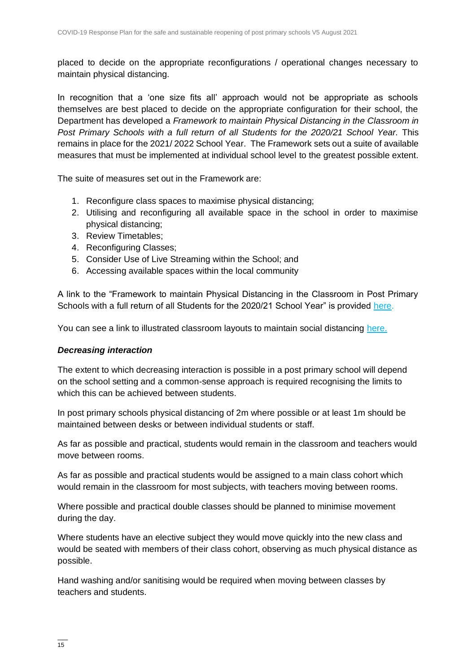placed to decide on the appropriate reconfigurations / operational changes necessary to maintain physical distancing.

In recognition that a 'one size fits all' approach would not be appropriate as schools themselves are best placed to decide on the appropriate configuration for their school, the Department has developed a *Framework to maintain Physical Distancing in the Classroom in*  Post Primary Schools with a full return of all Students for the 2020/21 School Year. This remains in place for the 2021/ 2022 School Year.The Framework sets out a suite of available measures that must be implemented at individual school level to the greatest possible extent.

The suite of measures set out in the Framework are:

- 1. Reconfigure class spaces to maximise physical distancing;
- 2. Utilising and reconfiguring all available space in the school in order to maximise physical distancing;
- 3. Review Timetables;
- 4. Reconfiguring Classes;
- 5. Consider Use of Live Streaming within the School; and
- 6. Accessing available spaces within the local community

A link to the "Framework to maintain Physical Distancing in the Classroom in Post Primary Schools with a full return of all Students for the 2020/21 School Year" is provided [here.](https://assets.gov.ie/83472/ca0e3029-2d43-4e77-8181-bc3dc89455d2.pdf)

You can see a link to illustrated classroom layouts to maintain social distancing [here.](https://s3-eu-west-1.amazonaws.com/govieassets/81947/e89b3523-78ee-45cb-ae14-c13d143b889b.pdf)

#### *Decreasing interaction*

The extent to which decreasing interaction is possible in a post primary school will depend on the school setting and a common-sense approach is required recognising the limits to which this can be achieved between students.

In post primary schools physical distancing of 2m where possible or at least 1m should be maintained between desks or between individual students or staff.

As far as possible and practical, students would remain in the classroom and teachers would move between rooms.

As far as possible and practical students would be assigned to a main class cohort which would remain in the classroom for most subjects, with teachers moving between rooms.

Where possible and practical double classes should be planned to minimise movement during the day.

Where students have an elective subject they would move quickly into the new class and would be seated with members of their class cohort, observing as much physical distance as possible.

Hand washing and/or sanitising would be required when moving between classes by teachers and students.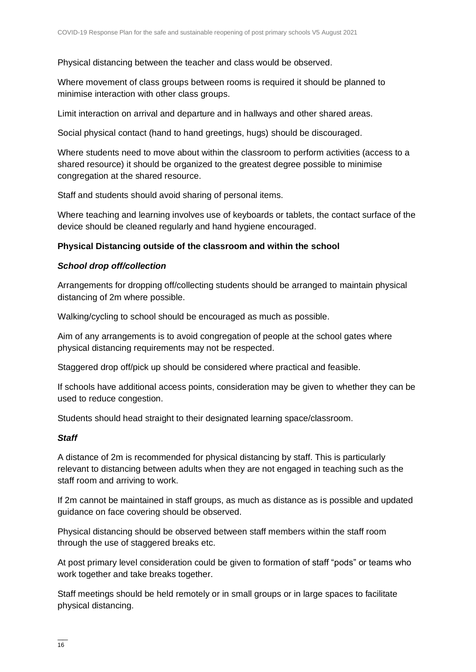Physical distancing between the teacher and class would be observed.

Where movement of class groups between rooms is required it should be planned to minimise interaction with other class groups.

Limit interaction on arrival and departure and in hallways and other shared areas.

Social physical contact (hand to hand greetings, hugs) should be discouraged.

Where students need to move about within the classroom to perform activities (access to a shared resource) it should be organized to the greatest degree possible to minimise congregation at the shared resource.

Staff and students should avoid sharing of personal items.

Where teaching and learning involves use of keyboards or tablets, the contact surface of the device should be cleaned regularly and hand hygiene encouraged.

#### **Physical Distancing outside of the classroom and within the school**

#### *School drop off/collection*

Arrangements for dropping off/collecting students should be arranged to maintain physical distancing of 2m where possible.

Walking/cycling to school should be encouraged as much as possible.

Aim of any arrangements is to avoid congregation of people at the school gates where physical distancing requirements may not be respected.

Staggered drop off/pick up should be considered where practical and feasible.

If schools have additional access points, consideration may be given to whether they can be used to reduce congestion.

Students should head straight to their designated learning space/classroom.

#### *Staff*

A distance of 2m is recommended for physical distancing by staff. This is particularly relevant to distancing between adults when they are not engaged in teaching such as the staff room and arriving to work.

If 2m cannot be maintained in staff groups, as much as distance as is possible and updated guidance on face covering should be observed.

Physical distancing should be observed between staff members within the staff room through the use of staggered breaks etc.

At post primary level consideration could be given to formation of staff "pods" or teams who work together and take breaks together.

Staff meetings should be held remotely or in small groups or in large spaces to facilitate physical distancing.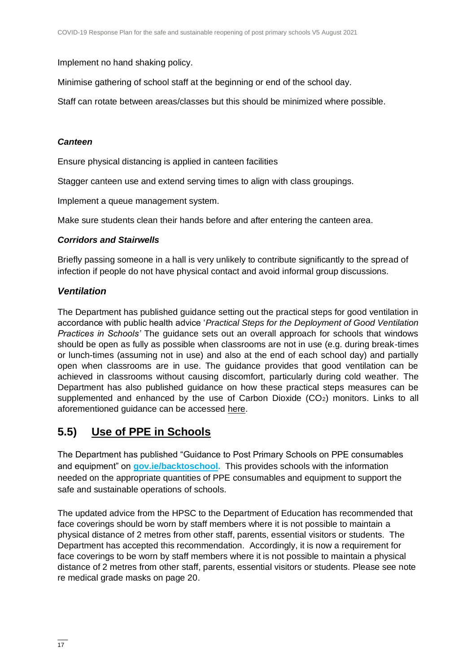Implement no hand shaking policy.

Minimise gathering of school staff at the beginning or end of the school day.

Staff can rotate between areas/classes but this should be minimized where possible.

#### *Canteen*

Ensure physical distancing is applied in canteen facilities

Stagger canteen use and extend serving times to align with class groupings.

Implement a queue management system.

Make sure students clean their hands before and after entering the canteen area.

#### *Corridors and Stairwells*

Briefly passing someone in a hall is very unlikely to contribute significantly to the spread of infection if people do not have physical contact and avoid informal group discussions.

#### *Ventilation*

The Department has published guidance setting out the practical steps for good ventilation in accordance with public health advice '*Practical Steps for the Deployment of Good Ventilation Practices in Schools'* The guidance sets out an overall approach for schools that windows should be open as fully as possible when classrooms are not in use (e.g. during break-times or lunch-times (assuming not in use) and also at the end of each school day) and partially open when classrooms are in use. The guidance provides that good ventilation can be achieved in classrooms without causing discomfort, particularly during cold weather. The Department has also published guidance on how these practical steps measures can be supplemented and enhanced by the use of Carbon Dioxide (CO<sub>2</sub>) monitors. Links to all aforementioned guidance can be accessed [here.](https://www.gov.ie/en/publication/ad236-guidance-on-ventilation-in-schools/)

## **5.5) Use of PPE in Schools**

The Department has published "Guidance to Post Primary Schools on PPE consumables and equipment" on **[gov.ie/backtoschool.](http://www.gov.ie/backtoschool)** This provides schools with the information needed on the appropriate quantities of PPE consumables and equipment to support the safe and sustainable operations of schools.

The updated advice from the HPSC to the Department of Education has recommended that face coverings should be worn by staff members where it is not possible to maintain a physical distance of 2 metres from other staff, parents, essential visitors or students. The Department has accepted this recommendation. Accordingly, it is now a requirement for face coverings to be worn by staff members where it is not possible to maintain a physical distance of 2 metres from other staff, parents, essential visitors or students. Please see note re medical grade masks on page 20.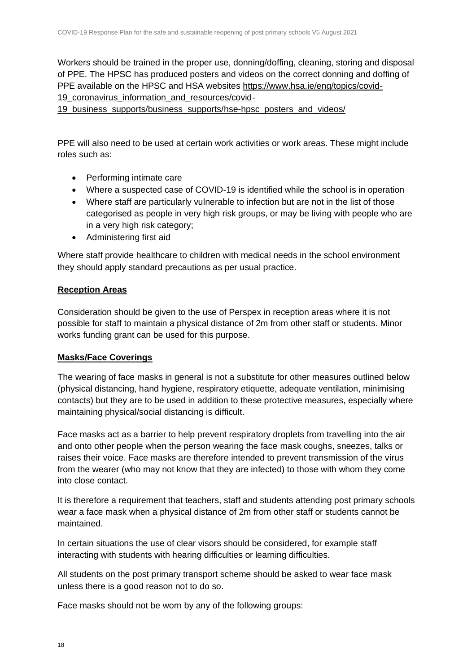Workers should be trained in the proper use, donning/doffing, cleaning, storing and disposal of PPE. The HPSC has produced posters and videos on the correct donning and doffing of PPE available on the HPSC and HSA websites [https://www.hsa.ie/eng/topics/covid-](https://www.hsa.ie/eng/topics/covid-19_coronavirus_information_and_resources/covid-19_business_supports/business_supports/hse-hpsc_posters_and_videos/)

19 coronavirus information and resources/covid-

19 business supports/business supports/hse-hpsc posters and videos/

PPE will also need to be used at certain work activities or work areas. These might include roles such as:

- Performing intimate care
- Where a suspected case of COVID-19 is identified while the school is in operation
- Where staff are particularly vulnerable to infection but are not in the list of those categorised as people in very high risk groups, or may be living with people who are in a very high risk category;
- Administering first aid

Where staff provide healthcare to children with medical needs in the school environment they should apply standard precautions as per usual practice.

#### **Reception Areas**

Consideration should be given to the use of Perspex in reception areas where it is not possible for staff to maintain a physical distance of 2m from other staff or students. Minor works funding grant can be used for this purpose.

#### **Masks/Face Coverings**

The wearing of face masks in general is not a substitute for other measures outlined below (physical distancing, hand hygiene, respiratory etiquette, adequate ventilation, minimising contacts) but they are to be used in addition to these protective measures, especially where maintaining physical/social distancing is difficult.

Face masks act as a barrier to help prevent respiratory droplets from travelling into the air and onto other people when the person wearing the face mask coughs, sneezes, talks or raises their voice. Face masks are therefore intended to prevent transmission of the virus from the wearer (who may not know that they are infected) to those with whom they come into close contact.

It is therefore a requirement that teachers, staff and students attending post primary schools wear a face mask when a physical distance of 2m from other staff or students cannot be maintained.

In certain situations the use of clear visors should be considered, for example staff interacting with students with hearing difficulties or learning difficulties.

All students on the post primary transport scheme should be asked to wear face mask unless there is a good reason not to do so.

Face masks should not be worn by any of the following groups: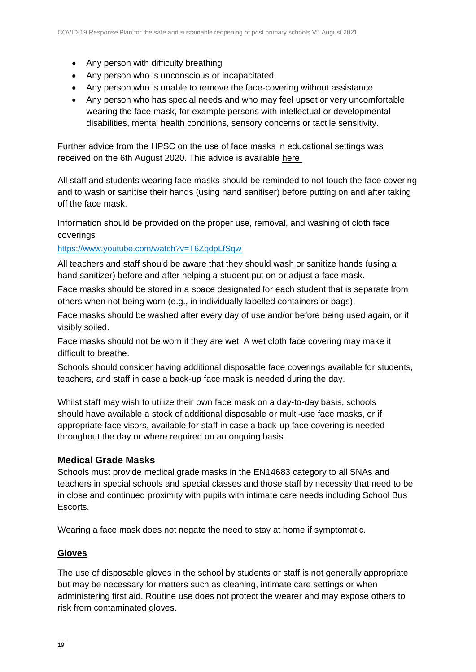- Any person with difficulty breathing
- Any person who is unconscious or incapacitated
- Any person who is unable to remove the face-covering without assistance
- Any person who has special needs and who may feel upset or very uncomfortable wearing the face mask, for example persons with intellectual or developmental disabilities, mental health conditions, sensory concerns or tactile sensitivity.

Further advice from the HPSC on the use of face masks in educational settings was received on the 6th August 2020. This advice is available [here.](https://assets.gov.ie/83506/86fba2a7-26da-4c19-bce3-b0d01aaaf59b.pdf)

All staff and students wearing face masks should be reminded to not touch the face covering and to wash or sanitise their hands (using hand sanitiser) before putting on and after taking off the face mask.

Information should be provided on the proper use, removal, and washing of cloth face coverings

#### <https://www.youtube.com/watch?v=T6ZqdpLfSqw>

All teachers and staff should be aware that they should wash or sanitize hands (using a hand sanitizer) before and after helping a student put on or adjust a face mask.

Face masks should be stored in a space designated for each student that is separate from others when not being worn (e.g., in individually labelled containers or bags).

Face masks should be washed after every day of use and/or before being used again, or if visibly soiled.

Face masks should not be worn if they are wet. A wet cloth face covering may make it difficult to breathe.

Schools should consider having additional disposable face coverings available for students, teachers, and staff in case a back-up face mask is needed during the day.

Whilst staff may wish to utilize their own face mask on a day-to-day basis, schools should have available a stock of additional disposable or multi-use face masks, or if appropriate face visors, available for staff in case a back-up face covering is needed throughout the day or where required on an ongoing basis.

#### **Medical Grade Masks**

Schools must provide medical grade masks in the EN14683 category to all SNAs and teachers in special schools and special classes and those staff by necessity that need to be in close and continued proximity with pupils with intimate care needs including School Bus Escorts.

Wearing a face mask does not negate the need to stay at home if symptomatic.

#### **Gloves**

The use of disposable gloves in the school by students or staff is not generally appropriate but may be necessary for matters such as cleaning, intimate care settings or when administering first aid. Routine use does not protect the wearer and may expose others to risk from contaminated gloves.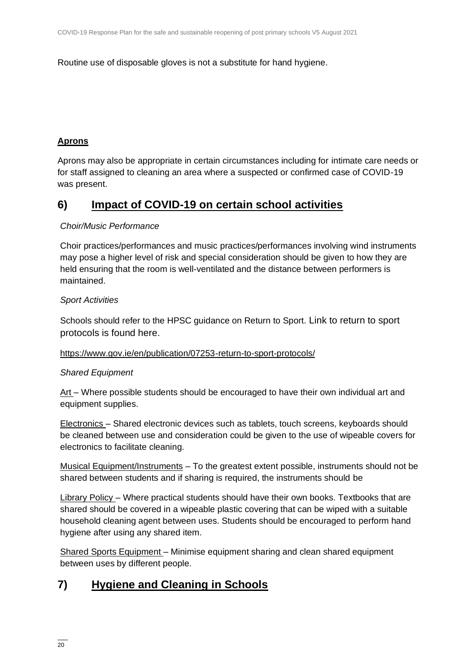Routine use of disposable gloves is not a substitute for hand hygiene.

#### **Aprons**

Aprons may also be appropriate in certain circumstances including for intimate care needs or for staff assigned to cleaning an area where a suspected or confirmed case of COVID-19 was present.

### **6) Impact of COVID-19 on certain school activities**

#### *Choir/Music Performance*

Choir practices/performances and music practices/performances involving wind instruments may pose a higher level of risk and special consideration should be given to how they are held ensuring that the room is well-ventilated and the distance between performers is maintained.

#### *Sport Activities*

Schools should refer to the HPSC guidance on Return to Sport. Link to return to sport protocols is found here.

#### <https://www.gov.ie/en/publication/07253-return-to-sport-protocols/>

#### *Shared Equipment*

Art - Where possible students should be encouraged to have their own individual art and equipment supplies.

Electronics – Shared electronic devices such as tablets, touch screens, keyboards should be cleaned between use and consideration could be given to the use of wipeable covers for electronics to facilitate cleaning.

Musical Equipment/Instruments - To the greatest extent possible, instruments should not be shared between students and if sharing is required, the instruments should be

Library Policy – Where practical students should have their own books. Textbooks that are shared should be covered in a wipeable plastic covering that can be wiped with a suitable household cleaning agent between uses. Students should be encouraged to perform hand hygiene after using any shared item.

Shared Sports Equipment – Minimise equipment sharing and clean shared equipment between uses by different people.

## **7) Hygiene and Cleaning in Schools**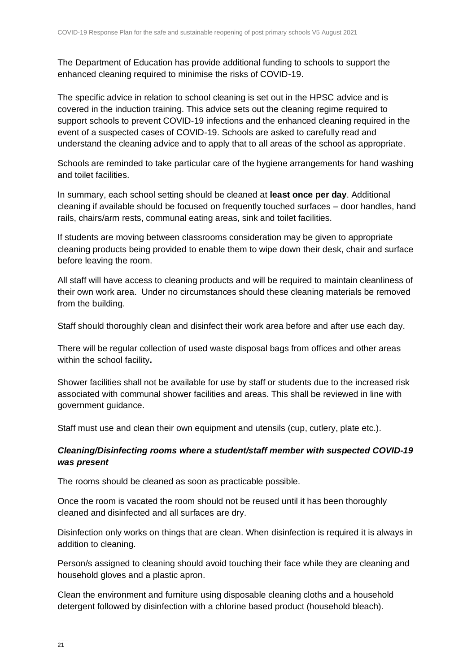The Department of Education has provide additional funding to schools to support the enhanced cleaning required to minimise the risks of COVID-19.

The specific advice in relation to school cleaning is set out in the HPSC advice and is covered in the induction training. This advice sets out the cleaning regime required to support schools to prevent COVID-19 infections and the enhanced cleaning required in the event of a suspected cases of COVID-19. Schools are asked to carefully read and understand the cleaning advice and to apply that to all areas of the school as appropriate.

Schools are reminded to take particular care of the hygiene arrangements for hand washing and toilet facilities.

In summary, each school setting should be cleaned at **least once per day**. Additional cleaning if available should be focused on frequently touched surfaces – door handles, hand rails, chairs/arm rests, communal eating areas, sink and toilet facilities.

If students are moving between classrooms consideration may be given to appropriate cleaning products being provided to enable them to wipe down their desk, chair and surface before leaving the room.

All staff will have access to cleaning products and will be required to maintain cleanliness of their own work area. Under no circumstances should these cleaning materials be removed from the building.

Staff should thoroughly clean and disinfect their work area before and after use each day.

There will be regular collection of used waste disposal bags from offices and other areas within the school facility**.** 

Shower facilities shall not be available for use by staff or students due to the increased risk associated with communal shower facilities and areas. This shall be reviewed in line with government guidance.

Staff must use and clean their own equipment and utensils (cup, cutlery, plate etc.).

#### *Cleaning/Disinfecting rooms where a student/staff member with suspected COVID-19 was present*

The rooms should be cleaned as soon as practicable possible.

Once the room is vacated the room should not be reused until it has been thoroughly cleaned and disinfected and all surfaces are dry.

Disinfection only works on things that are clean. When disinfection is required it is always in addition to cleaning.

Person/s assigned to cleaning should avoid touching their face while they are cleaning and household gloves and a plastic apron.

Clean the environment and furniture using disposable cleaning cloths and a household detergent followed by disinfection with a chlorine based product (household bleach).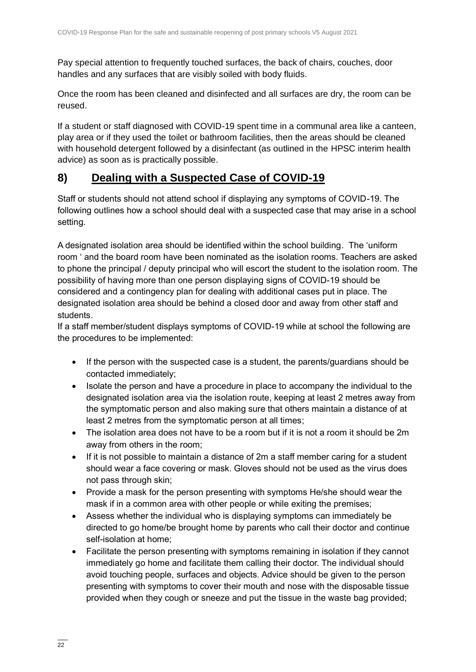Pay special attention to frequently touched surfaces, the back of chairs, couches, door handles and any surfaces that are visibly soiled with body fluids.

Once the room has been cleaned and disinfected and all surfaces are dry, the room can be reused.

If a student or staff diagnosed with COVID-19 spent time in a communal area like a canteen, play area or if they used the toilet or bathroom facilities, then the areas should be cleaned with household detergent followed by a disinfectant (as outlined in the HPSC interim health advice) as soon as is practically possible.

## **8) Dealing with a Suspected Case of COVID-19**

Staff or students should not attend school if displaying any symptoms of COVID-19. The following outlines how a school should deal with a suspected case that may arise in a school setting.

A designated isolation area should be identified within the school building. The 'uniform room ' and the board room have been nominated as the isolation rooms. Teachers are asked to phone the principal / deputy principal who will escort the student to the isolation room. The possibility of having more than one person displaying signs of COVID-19 should be considered and a contingency plan for dealing with additional cases put in place. The designated isolation area should be behind a closed door and away from other staff and students.

If a staff member/student displays symptoms of COVID-19 while at school the following are the procedures to be implemented:

- If the person with the suspected case is a student, the parents/guardians should be contacted immediately;
- Isolate the person and have a procedure in place to accompany the individual to the designated isolation area via the isolation route, keeping at least 2 metres away from the symptomatic person and also making sure that others maintain a distance of at least 2 metres from the symptomatic person at all times;
- The isolation area does not have to be a room but if it is not a room it should be 2m away from others in the room;
- If it is not possible to maintain a distance of 2m a staff member caring for a student should wear a face covering or mask. Gloves should not be used as the virus does not pass through skin;
- Provide a mask for the person presenting with symptoms He/she should wear the mask if in a common area with other people or while exiting the premises;
- Assess whether the individual who is displaying symptoms can immediately be directed to go home/be brought home by parents who call their doctor and continue self-isolation at home;
- Facilitate the person presenting with symptoms remaining in isolation if they cannot immediately go home and facilitate them calling their doctor. The individual should avoid touching people, surfaces and objects. Advice should be given to the person presenting with symptoms to cover their mouth and nose with the disposable tissue provided when they cough or sneeze and put the tissue in the waste bag provided;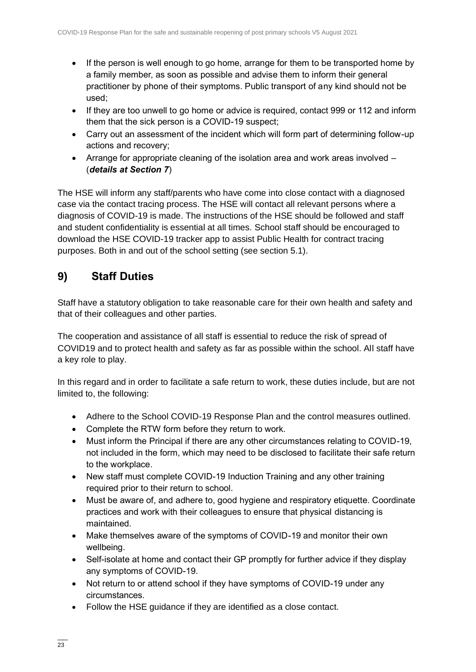- If the person is well enough to go home, arrange for them to be transported home by a family member, as soon as possible and advise them to inform their general practitioner by phone of their symptoms. Public transport of any kind should not be used;
- If they are too unwell to go home or advice is required, contact 999 or 112 and inform them that the sick person is a COVID-19 suspect;
- Carry out an assessment of the incident which will form part of determining follow-up actions and recovery;
- Arrange for appropriate cleaning of the isolation area and work areas involved (*details at Section 7*)

The HSE will inform any staff/parents who have come into close contact with a diagnosed case via the contact tracing process. The HSE will contact all relevant persons where a diagnosis of COVID-19 is made. The instructions of the HSE should be followed and staff and student confidentiality is essential at all times. School staff should be encouraged to download the HSE COVID-19 tracker app to assist Public Health for contract tracing purposes. Both in and out of the school setting (see section 5.1).

## **9) Staff Duties**

Staff have a statutory obligation to take reasonable care for their own health and safety and that of their colleagues and other parties.

The cooperation and assistance of all staff is essential to reduce the risk of spread of COVID19 and to protect health and safety as far as possible within the school. All staff have a key role to play.

In this regard and in order to facilitate a safe return to work, these duties include, but are not limited to, the following:

- Adhere to the School COVID-19 Response Plan and the control measures outlined.
- Complete the RTW form before they return to work.
- Must inform the Principal if there are any other circumstances relating to COVID-19, not included in the form, which may need to be disclosed to facilitate their safe return to the workplace.
- New staff must complete COVID-19 Induction Training and any other training required prior to their return to school.
- Must be aware of, and adhere to, good hygiene and respiratory etiquette. Coordinate practices and work with their colleagues to ensure that physical distancing is maintained.
- Make themselves aware of the symptoms of COVID-19 and monitor their own wellbeing.
- Self-isolate at home and contact their GP promptly for further advice if they display any symptoms of COVID-19.
- Not return to or attend school if they have symptoms of COVID-19 under any circumstances.
- Follow the HSE guidance if they are identified as a close contact.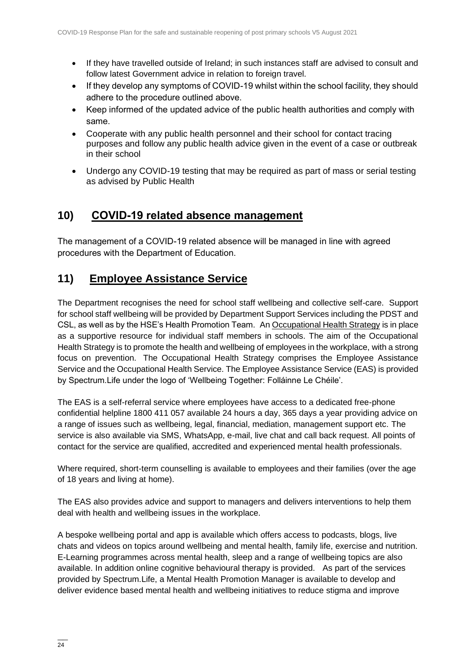- If they have travelled outside of Ireland; in such instances staff are advised to consult and follow latest Government advice in relation to foreign travel.
- If they develop any symptoms of COVID-19 whilst within the school facility, they should adhere to the procedure outlined above.
- Keep informed of the updated advice of the public health authorities and comply with same.
- Cooperate with any public health personnel and their school for contact tracing purposes and follow any public health advice given in the event of a case or outbreak in their school
- Undergo any COVID-19 testing that may be required as part of mass or serial testing as advised by Public Health

## **10) COVID-19 related absence management**

The management of a COVID-19 related absence will be managed in line with agreed procedures with the Department of Education.

## **11) Employee Assistance Service**

The Department recognises the need for school staff wellbeing and collective self-care. Support for school staff wellbeing will be provided by Department Support Services including the PDST and CSL, as well as by the HSE's Health Promotion Team. An [Occupational Health Strategy](https://www.education.ie/en/Education-Staff/Information/Occupational-Health-Strategy/) is in place as a supportive resource for individual staff members in schools. The aim of the Occupational Health Strategy is to promote the health and wellbeing of employees in the workplace, with a strong focus on prevention. The Occupational Health Strategy comprises the Employee Assistance Service and the Occupational Health Service. The Employee Assistance Service (EAS) is provided by Spectrum.Life under the logo of 'Wellbeing Together: Folláinne Le Chéile'.

The EAS is a self-referral service where employees have access to a dedicated free-phone confidential helpline 1800 411 057 available 24 hours a day, 365 days a year providing advice on a range of issues such as wellbeing, legal, financial, mediation, management support etc. The service is also available via SMS, WhatsApp, e-mail, live chat and call back request. All points of contact for the service are qualified, accredited and experienced mental health professionals.

Where required, short-term counselling is available to employees and their families (over the age of 18 years and living at home).

The EAS also provides advice and support to managers and delivers interventions to help them deal with health and wellbeing issues in the workplace.

A bespoke wellbeing portal and app is available which offers access to podcasts, blogs, live chats and videos on topics around wellbeing and mental health, family life, exercise and nutrition. E-Learning programmes across mental health, sleep and a range of wellbeing topics are also available. In addition online cognitive behavioural therapy is provided. As part of the services provided by Spectrum.Life, a Mental Health Promotion Manager is available to develop and deliver evidence based mental health and wellbeing initiatives to reduce stigma and improve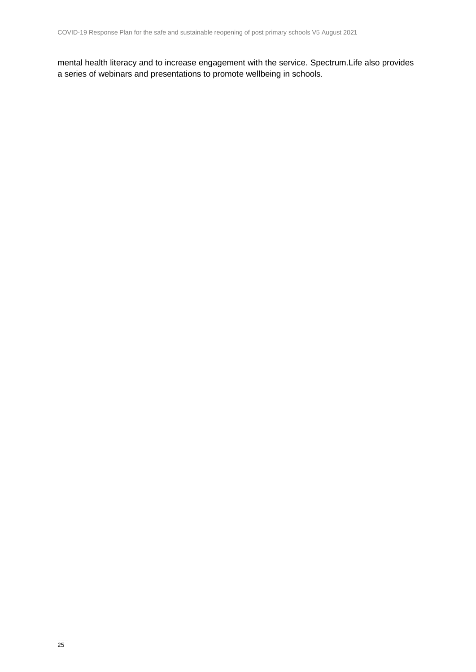mental health literacy and to increase engagement with the service. Spectrum.Life also provides a series of webinars and presentations to promote wellbeing in schools.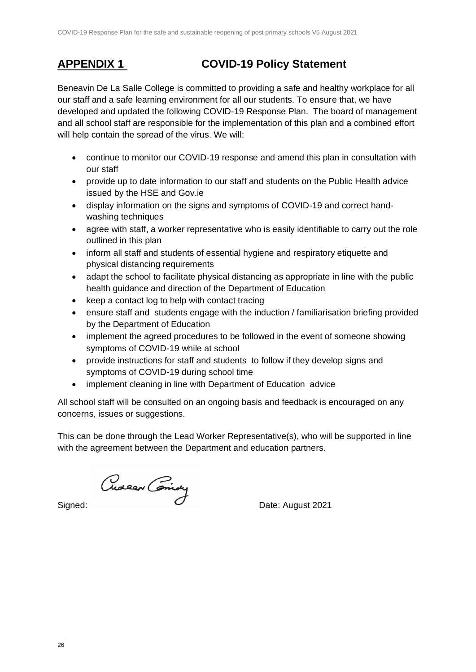## **APPENDIX 1 COVID-19 Policy Statement**

Beneavin De La Salle College is committed to providing a safe and healthy workplace for all our staff and a safe learning environment for all our students. To ensure that, we have developed and updated the following COVID-19 Response Plan. The board of management and all school staff are responsible for the implementation of this plan and a combined effort will help contain the spread of the virus. We will:

- continue to monitor our COVID-19 response and amend this plan in consultation with our staff
- provide up to date information to our staff and students on the Public Health advice issued by the HSE and Gov.ie
- display information on the signs and symptoms of COVID-19 and correct handwashing techniques
- agree with staff, a worker representative who is easily identifiable to carry out the role outlined in this plan
- inform all staff and students of essential hygiene and respiratory etiquette and physical distancing requirements
- adapt the school to facilitate physical distancing as appropriate in line with the public health guidance and direction of the Department of Education
- keep a contact log to help with contact tracing
- ensure staff and students engage with the induction / familiarisation briefing provided by the Department of Education
- implement the agreed procedures to be followed in the event of someone showing symptoms of COVID-19 while at school
- provide instructions for staff and students to follow if they develop signs and symptoms of COVID-19 during school time
- implement cleaning in line with Department of Education advice

All school staff will be consulted on an ongoing basis and feedback is encouraged on any concerns, issues or suggestions.

This can be done through the Lead Worker Representative(s), who will be supported in line with the agreement between the Department and education partners.

Chalean Coming<br>Signed: Date: August 2021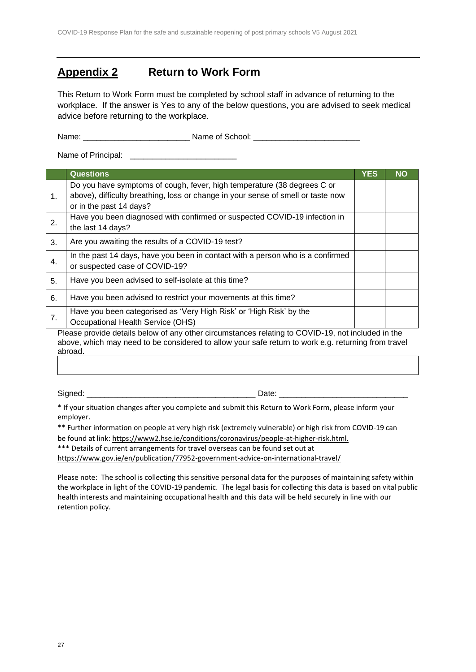## **Appendix 2 Return to Work Form**

This Return to Work Form must be completed by school staff in advance of returning to the workplace. If the answer is Yes to any of the below questions, you are advised to seek medical advice before returning to the workplace.

Name: \_\_\_\_\_\_\_\_\_\_\_\_\_\_\_\_\_\_\_\_\_\_\_\_ Name of School: \_\_\_\_\_\_\_\_\_\_\_\_\_\_\_\_\_\_\_\_\_\_\_\_

Name of Principal: \_\_\_\_\_\_\_\_\_\_\_\_\_\_\_\_\_\_\_\_\_\_\_\_

|                                                                                                   | <b>Questions</b>                                                                                    | <b>YES</b> | <b>NO</b> |  |  |
|---------------------------------------------------------------------------------------------------|-----------------------------------------------------------------------------------------------------|------------|-----------|--|--|
|                                                                                                   | Do you have symptoms of cough, fever, high temperature (38 degrees C or                             |            |           |  |  |
| 1.                                                                                                | above), difficulty breathing, loss or change in your sense of smell or taste now                    |            |           |  |  |
|                                                                                                   | or in the past 14 days?                                                                             |            |           |  |  |
| 2.                                                                                                | Have you been diagnosed with confirmed or suspected COVID-19 infection in                           |            |           |  |  |
|                                                                                                   | the last 14 days?                                                                                   |            |           |  |  |
| 3.                                                                                                | Are you awaiting the results of a COVID-19 test?                                                    |            |           |  |  |
|                                                                                                   | In the past 14 days, have you been in contact with a person who is a confirmed                      |            |           |  |  |
| 4.                                                                                                | or suspected case of COVID-19?                                                                      |            |           |  |  |
| 5.                                                                                                | Have you been advised to self-isolate at this time?                                                 |            |           |  |  |
|                                                                                                   |                                                                                                     |            |           |  |  |
| 6.                                                                                                | Have you been advised to restrict your movements at this time?                                      |            |           |  |  |
|                                                                                                   | Have you been categorised as 'Very High Risk' or 'High Risk' by the                                 |            |           |  |  |
| 7.                                                                                                | Occupational Health Service (OHS)                                                                   |            |           |  |  |
| Please provide details below of any other circumstances relating to COVID-19, not included in the |                                                                                                     |            |           |  |  |
|                                                                                                   | above, which may need to be considered to allow your safe return to work e.g. returning from travel |            |           |  |  |

abroad.

Signed: \_\_\_\_\_\_\_\_\_\_\_\_\_\_\_\_\_\_\_\_\_\_\_\_\_\_\_\_\_\_\_\_\_\_\_\_\_\_ Date: \_\_\_\_\_\_\_\_\_\_\_\_\_\_\_\_\_\_\_\_\_\_\_\_\_\_\_\_\_

\* If your situation changes after you complete and submit this Return to Work Form, please inform your employer.

\*\* Further information on people at very high risk (extremely vulnerable) or high risk from COVID-19 can be found at link[: https://www2.hse.ie/conditions/coronavirus/people-at-higher-risk.html.](https://www2.hse.ie/conditions/covid19/people-at-higher-risk/overview/) 

\*\*\* Details of current arrangements for travel overseas can be found set out at

<https://www.gov.ie/en/publication/77952-government-advice-on-international-travel/>

Please note: The school is collecting this sensitive personal data for the purposes of maintaining safety within the workplace in light of the COVID-19 pandemic. The legal basis for collecting this data is based on vital public health interests and maintaining occupational health and this data will be held securely in line with our retention policy.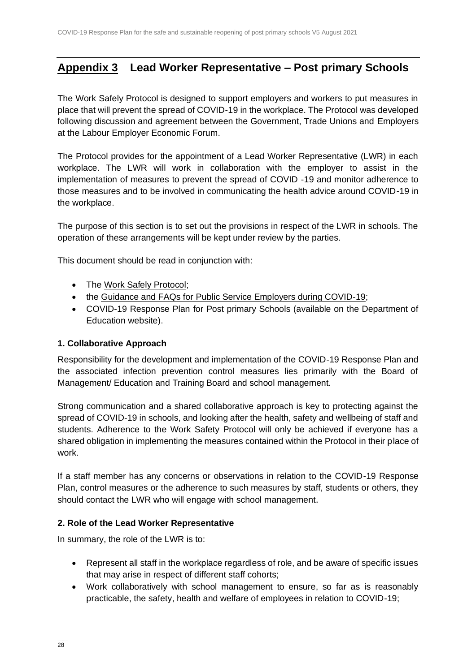## **Appendix 3 Lead Worker Representative – Post primary Schools**

The Work Safely Protocol is designed to support employers and workers to put measures in place that will prevent the spread of COVID-19 in the workplace. The Protocol was developed following discussion and agreement between the Government, Trade Unions and Employers at the Labour Employer Economic Forum.

The Protocol provides for the appointment of a Lead Worker Representative (LWR) in each workplace. The LWR will work in collaboration with the employer to assist in the implementation of measures to prevent the spread of COVID -19 and monitor adherence to those measures and to be involved in communicating the health advice around COVID-19 in the workplace.

The purpose of this section is to set out the provisions in respect of the LWR in schools. The operation of these arrangements will be kept under review by the parties.

This document should be read in conjunction with:

- The [Work Safely Protocol;](https://www.gov.ie/en/publication/22829a-return-to-work-safely-protocol/)
- the [Guidance and FAQs for Public Service Employers during COVID-19;](https://www.gov.ie/en/news/092fff-update-on-working-arrangements-and-leave-associated-with-covid-19-fo/)
- COVID-19 Response Plan for Post primary Schools (available on the Department of Education website).

#### **1. Collaborative Approach**

Responsibility for the development and implementation of the COVID-19 Response Plan and the associated infection prevention control measures lies primarily with the Board of Management/ Education and Training Board and school management.

Strong communication and a shared collaborative approach is key to protecting against the spread of COVID-19 in schools, and looking after the health, safety and wellbeing of staff and students. Adherence to the Work Safety Protocol will only be achieved if everyone has a shared obligation in implementing the measures contained within the Protocol in their place of work.

If a staff member has any concerns or observations in relation to the COVID-19 Response Plan, control measures or the adherence to such measures by staff, students or others, they should contact the LWR who will engage with school management.

#### **2. Role of the Lead Worker Representative**

In summary, the role of the LWR is to:

- Represent all staff in the workplace regardless of role, and be aware of specific issues that may arise in respect of different staff cohorts;
- Work collaboratively with school management to ensure, so far as is reasonably practicable, the safety, health and welfare of employees in relation to COVID-19;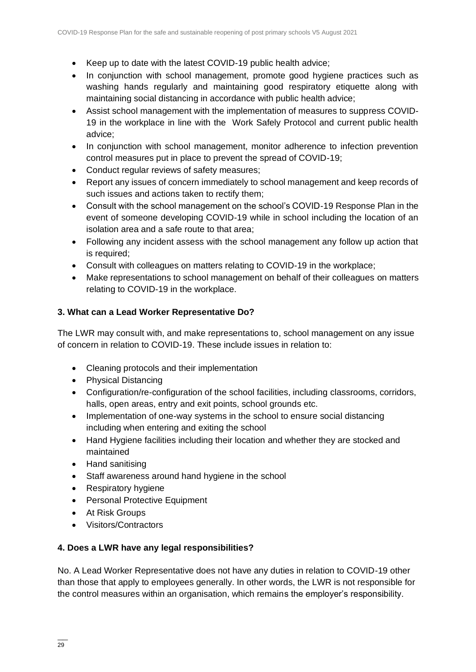- Keep up to date with the latest COVID-19 public health advice;
- In conjunction with school management, promote good hygiene practices such as washing hands regularly and maintaining good respiratory etiquette along with maintaining social distancing in accordance with public health advice;
- Assist school management with the implementation of measures to suppress COVID-19 in the workplace in line with the Work Safely Protocol and current public health advice;
- In conjunction with school management, monitor adherence to infection prevention control measures put in place to prevent the spread of COVID-19;
- Conduct regular reviews of safety measures;
- Report any issues of concern immediately to school management and keep records of such issues and actions taken to rectify them;
- Consult with the school management on the school's COVID-19 Response Plan in the event of someone developing COVID-19 while in school including the location of an isolation area and a safe route to that area;
- Following any incident assess with the school management any follow up action that is required;
- Consult with colleagues on matters relating to COVID-19 in the workplace;
- Make representations to school management on behalf of their colleagues on matters relating to COVID-19 in the workplace.

#### **3. What can a Lead Worker Representative Do?**

The LWR may consult with, and make representations to, school management on any issue of concern in relation to COVID-19. These include issues in relation to:

- Cleaning protocols and their implementation
- Physical Distancing
- Configuration/re-configuration of the school facilities, including classrooms, corridors, halls, open areas, entry and exit points, school grounds etc.
- Implementation of one-way systems in the school to ensure social distancing including when entering and exiting the school
- Hand Hygiene facilities including their location and whether they are stocked and maintained
- Hand sanitising
- Staff awareness around hand hygiene in the school
- Respiratory hygiene
- Personal Protective Equipment
- At Risk Groups
- Visitors/Contractors

#### **4. Does a LWR have any legal responsibilities?**

No. A Lead Worker Representative does not have any duties in relation to COVID-19 other than those that apply to employees generally. In other words, the LWR is not responsible for the control measures within an organisation, which remains the employer's responsibility.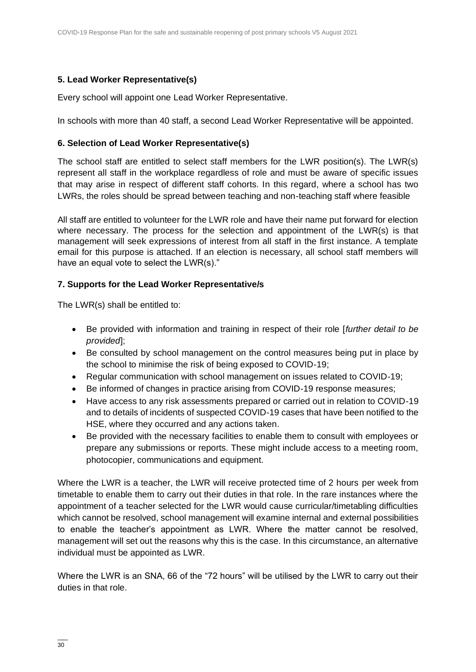#### **5. Lead Worker Representative(s)**

Every school will appoint one Lead Worker Representative.

In schools with more than 40 staff, a second Lead Worker Representative will be appointed.

#### **6. Selection of Lead Worker Representative(s)**

The school staff are entitled to select staff members for the LWR position(s). The LWR(s) represent all staff in the workplace regardless of role and must be aware of specific issues that may arise in respect of different staff cohorts. In this regard, where a school has two LWRs, the roles should be spread between teaching and non-teaching staff where feasible

All staff are entitled to volunteer for the LWR role and have their name put forward for election where necessary. The process for the selection and appointment of the LWR(s) is that management will seek expressions of interest from all staff in the first instance. A template email for this purpose is attached. If an election is necessary, all school staff members will have an equal vote to select the LWR(s)."

#### **7. Supports for the Lead Worker Representative/s**

The LWR(s) shall be entitled to:

- Be provided with information and training in respect of their role [*further detail to be provided*];
- Be consulted by school management on the control measures being put in place by the school to minimise the risk of being exposed to COVID-19;
- Regular communication with school management on issues related to COVID-19;
- Be informed of changes in practice arising from COVID-19 response measures;
- Have access to any risk assessments prepared or carried out in relation to COVID-19 and to details of incidents of suspected COVID-19 cases that have been notified to the HSE, where they occurred and any actions taken.
- Be provided with the necessary facilities to enable them to consult with employees or prepare any submissions or reports. These might include access to a meeting room, photocopier, communications and equipment.

Where the LWR is a teacher, the LWR will receive protected time of 2 hours per week from timetable to enable them to carry out their duties in that role. In the rare instances where the appointment of a teacher selected for the LWR would cause curricular/timetabling difficulties which cannot be resolved, school management will examine internal and external possibilities to enable the teacher's appointment as LWR. Where the matter cannot be resolved, management will set out the reasons why this is the case. In this circumstance, an alternative individual must be appointed as LWR.

Where the LWR is an SNA, 66 of the "72 hours" will be utilised by the LWR to carry out their duties in that role.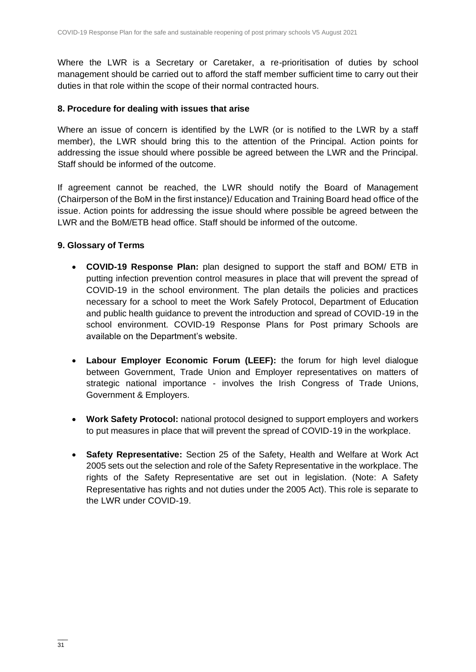Where the LWR is a Secretary or Caretaker, a re-prioritisation of duties by school management should be carried out to afford the staff member sufficient time to carry out their duties in that role within the scope of their normal contracted hours.

#### **8. Procedure for dealing with issues that arise**

Where an issue of concern is identified by the LWR (or is notified to the LWR by a staff member), the LWR should bring this to the attention of the Principal. Action points for addressing the issue should where possible be agreed between the LWR and the Principal. Staff should be informed of the outcome.

If agreement cannot be reached, the LWR should notify the Board of Management (Chairperson of the BoM in the first instance)/ Education and Training Board head office of the issue. Action points for addressing the issue should where possible be agreed between the LWR and the BoM/ETB head office. Staff should be informed of the outcome.

#### **9. Glossary of Terms**

- **COVID-19 Response Plan:** plan designed to support the staff and BOM/ ETB in putting infection prevention control measures in place that will prevent the spread of COVID-19 in the school environment. The plan details the policies and practices necessary for a school to meet the Work Safely Protocol, Department of Education and public health guidance to prevent the introduction and spread of COVID-19 in the school environment. COVID-19 Response Plans for Post primary Schools are available on the Department's website.
- **Labour Employer Economic Forum (LEEF):** the forum for high level dialogue between Government, Trade Union and Employer representatives on matters of strategic national importance - involves the Irish Congress of Trade Unions, Government & Employers.
- **Work Safety Protocol:** national protocol designed to support employers and workers to put measures in place that will prevent the spread of COVID-19 in the workplace.
- **Safety Representative:** Section 25 of the Safety, Health and Welfare at Work Act 2005 sets out the selection and role of the Safety Representative in the workplace. The rights of the Safety Representative are set out in legislation. (Note: A Safety Representative has rights and not duties under the 2005 Act). This role is separate to the LWR under COVID-19.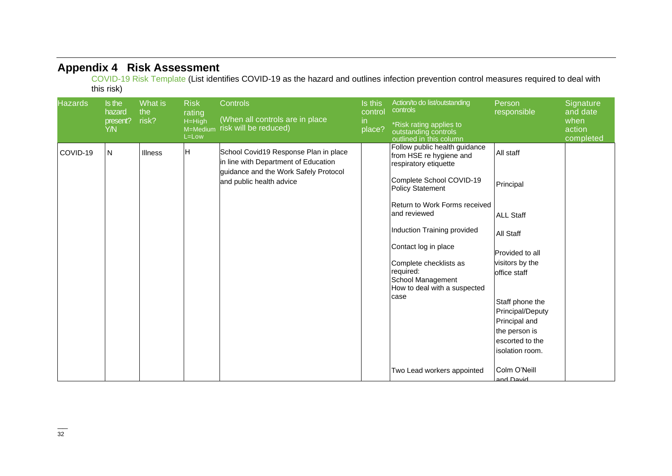### **Appendix 4 Risk Assessment**

COVID-19 Risk Template (List identifies COVID-19 as the hazard and outlines infection prevention control measures required to deal with this risk)

| <b>Hazards</b> | Is the<br>hazard<br>present?<br><b>Y/N</b> | What is<br>the<br>risk? | <b>Risk</b><br>rating<br>$H=High$<br>M=Medium<br>$L = Low$ | Controls<br>(When all controls are in place<br>risk will be reduced)                                                                               | Is this<br>control<br>$\mathsf{in}$<br>place? | Action/to do list/outstanding<br>controls<br>*Risk rating applies to<br>outstanding controls<br>outlined in this column                                                                                                                                                                                                                              | Person<br>responsible                                                                                                                                                                                                               | Signature<br>and date<br>when<br>action<br>completed |
|----------------|--------------------------------------------|-------------------------|------------------------------------------------------------|----------------------------------------------------------------------------------------------------------------------------------------------------|-----------------------------------------------|------------------------------------------------------------------------------------------------------------------------------------------------------------------------------------------------------------------------------------------------------------------------------------------------------------------------------------------------------|-------------------------------------------------------------------------------------------------------------------------------------------------------------------------------------------------------------------------------------|------------------------------------------------------|
| COVID-19       | $\mathsf{N}$                               | Illness                 | H                                                          | School Covid19 Response Plan in place<br>in line with Department of Education<br>guidance and the Work Safely Protocol<br>and public health advice |                                               | Follow public health guidance<br>from HSE re hygiene and<br>respiratory etiquette<br>Complete School COVID-19<br><b>Policy Statement</b><br>Return to Work Forms received<br>and reviewed<br>Induction Training provided<br>Contact log in place<br>Complete checklists as<br>required:<br>School Management<br>How to deal with a suspected<br>case | All staff<br>Principal<br><b>ALL Staff</b><br><b>All Staff</b><br>Provided to all<br>visitors by the<br>office staff<br>Staff phone the<br>Principal/Deputy<br>Principal and<br>the person is<br>escorted to the<br>isolation room. |                                                      |
|                |                                            |                         |                                                            |                                                                                                                                                    |                                               | Two Lead workers appointed                                                                                                                                                                                                                                                                                                                           | <b>Colm O'Neill</b><br>and David                                                                                                                                                                                                    |                                                      |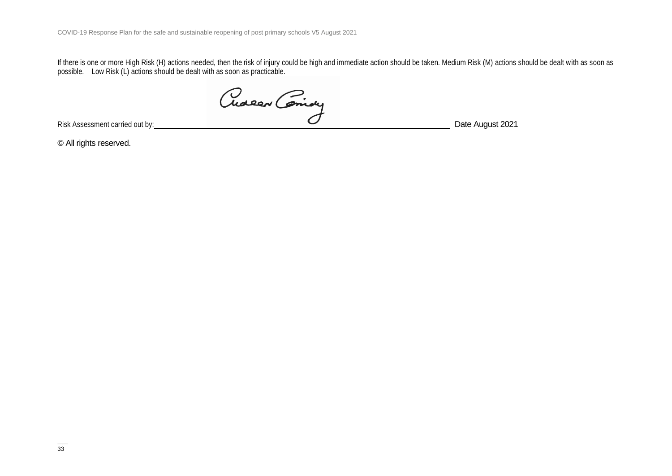If there is one or more High Risk (H) actions needed, then the risk of injury could be high and immediate action should be taken. Medium Risk (M) actions should be dealt with as soon as possible. Low Risk (L) actions should be dealt with as soon as practicable.

Risk Assessment carried out by: Chocean Coming

© All rights reserved.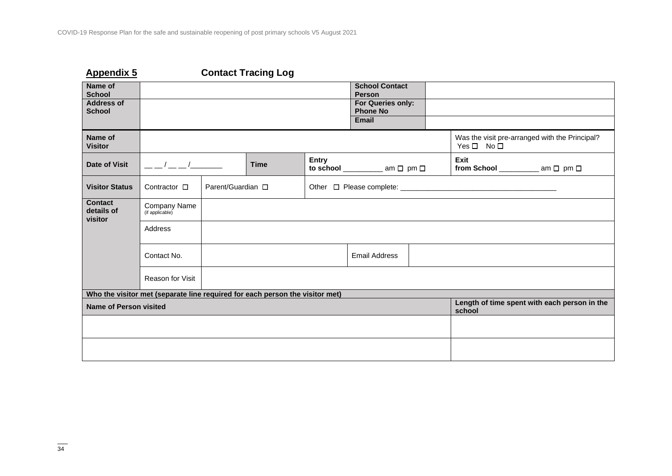| <b>Appendix 5</b>                       |                                                                                                                                                                                                                                                                                                                                                                                                                                 |                   | <b>Contact Tracing Log</b> |       |                                           |                                                              |                                              |
|-----------------------------------------|---------------------------------------------------------------------------------------------------------------------------------------------------------------------------------------------------------------------------------------------------------------------------------------------------------------------------------------------------------------------------------------------------------------------------------|-------------------|----------------------------|-------|-------------------------------------------|--------------------------------------------------------------|----------------------------------------------|
| Name of<br><b>School</b>                |                                                                                                                                                                                                                                                                                                                                                                                                                                 |                   |                            |       | <b>School Contact</b><br>Person           |                                                              |                                              |
| <b>Address of</b><br><b>School</b>      |                                                                                                                                                                                                                                                                                                                                                                                                                                 |                   |                            |       | For Queries only:<br><b>Phone No</b>      |                                                              |                                              |
|                                         |                                                                                                                                                                                                                                                                                                                                                                                                                                 |                   |                            |       | <b>Email</b>                              |                                                              |                                              |
| Name of<br><b>Visitor</b>               |                                                                                                                                                                                                                                                                                                                                                                                                                                 |                   |                            |       |                                           | Was the visit pre-arranged with the Principal?<br>Yes □ No □ |                                              |
| <b>Date of Visit</b>                    | $\frac{\frac{1}{2}}{1-\frac{1}{2}}=\frac{1}{2-\frac{1}{2}}\left( \frac{1}{2-\frac{1}{2}}\right) =\frac{1}{2-\frac{1}{2}}\left( \frac{1}{2-\frac{1}{2}}\right) =\frac{1}{2-\frac{1}{2}}\left( \frac{1}{2-\frac{1}{2}}\right) =\frac{1}{2-\frac{1}{2}}\left( \frac{1}{2-\frac{1}{2}}\right) =\frac{1}{2-\frac{1}{2}}\left( \frac{1}{2-\frac{1}{2}}\right) =\frac{1}{2-\frac{1}{2}}\left( \frac{1}{2-\frac{1}{2}}\right) =\frac{1$ |                   | <b>Time</b>                | Entry | to school $\_\_\_\_\$ am $\Box$ pm $\Box$ | Exit<br>from School $\_\_\_\_\_\$ am $\Box$ pm $\Box$        |                                              |
| <b>Visitor Status</b>                   | Contractor $\square$                                                                                                                                                                                                                                                                                                                                                                                                            | Parent/Guardian □ |                            |       |                                           |                                                              |                                              |
| <b>Contact</b><br>details of<br>visitor | Company Name<br>(if applicable)                                                                                                                                                                                                                                                                                                                                                                                                 |                   |                            |       |                                           |                                                              |                                              |
|                                         | Address                                                                                                                                                                                                                                                                                                                                                                                                                         |                   |                            |       |                                           |                                                              |                                              |
|                                         | Contact No.                                                                                                                                                                                                                                                                                                                                                                                                                     |                   |                            |       | <b>Email Address</b>                      |                                                              |                                              |
|                                         | Reason for Visit                                                                                                                                                                                                                                                                                                                                                                                                                |                   |                            |       |                                           |                                                              |                                              |
|                                         | Who the visitor met (separate line required for each person the visitor met)                                                                                                                                                                                                                                                                                                                                                    |                   |                            |       |                                           |                                                              |                                              |
| <b>Name of Person visited</b>           |                                                                                                                                                                                                                                                                                                                                                                                                                                 |                   |                            |       |                                           | school                                                       | Length of time spent with each person in the |
|                                         |                                                                                                                                                                                                                                                                                                                                                                                                                                 |                   |                            |       |                                           |                                                              |                                              |
|                                         |                                                                                                                                                                                                                                                                                                                                                                                                                                 |                   |                            |       |                                           |                                                              |                                              |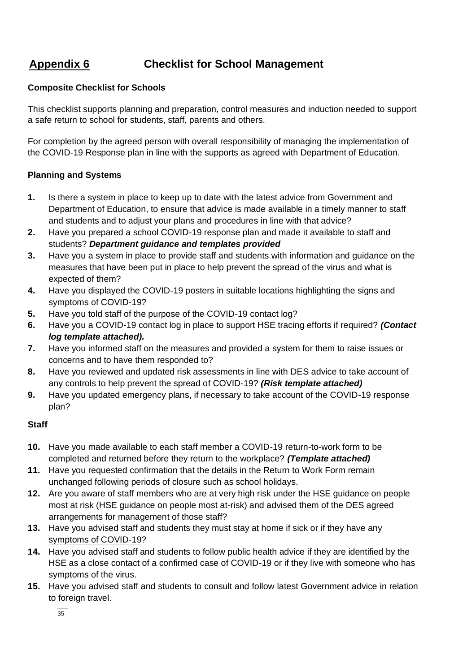## **Appendix 6 Checklist for School Management**

#### **Composite Checklist for Schools**

This checklist supports planning and preparation, control measures and induction needed to support a safe return to school for students, staff, parents and others.

For completion by the agreed person with overall responsibility of managing the implementation of the COVID-19 Response plan in line with the supports as agreed with Department of Education.

#### **Planning and Systems**

- **1.** Is there a system in place to keep up to date with the latest advice from Government and Department of Education, to ensure that advice is made available in a timely manner to staff and students and to adjust your plans and procedures in line with that advice?
- **2.** Have you prepared a school COVID-19 response plan and made it available to staff and students? *Department guidance and templates provided*
- **3.** Have you a system in place to provide staff and students with information and guidance on the measures that have been put in place to help prevent the spread of the virus and what is expected of them?
- **4.** Have you displayed the COVID-19 posters in suitable locations highlighting the signs and symptoms of COVID-19?
- **5.** Have you told staff of the purpose of the COVID-19 contact log?
- **6.** Have you a COVID-19 contact log in place to support HSE tracing efforts if required? *(Contact log template attached).*
- **7.** Have you informed staff on the measures and provided a system for them to raise issues or concerns and to have them responded to?
- **8.** Have you reviewed and updated risk assessments in line with DES advice to take account of any controls to help prevent the spread of COVID-19? *(Risk template attached)*
- **9.** Have you updated emergency plans, if necessary to take account of the COVID-19 response plan?

#### **Staff**

- **10.** Have you made available to each staff member a COVID-19 return-to-work form to be completed and returned before they return to the workplace? *(Template attached)*
- **11.** Have you requested confirmation that the details in the Return to Work Form remain unchanged following periods of closure such as school holidays.
- **12.** Are you aware of staff members who are at very high risk under the HSE guidance on people most at risk (HSE guidance on people most at-risk) and advised them of the DES agreed arrangements for management of those staff?
- **13.** Have you advised staff and students they must stay at home if sick or if they have any [symptoms of COVID-19?](https://www2.hse.ie/conditions/coronavirus/symptoms.html)
- **14.** Have you advised staff and students to follow public health advice if they are identified by the HSE as a close contact of a confirmed case of COVID-19 or if they live with someone who has symptoms of the virus.
- **15.** Have you advised staff and students to consult and follow latest Government advice in relation to foreign travel.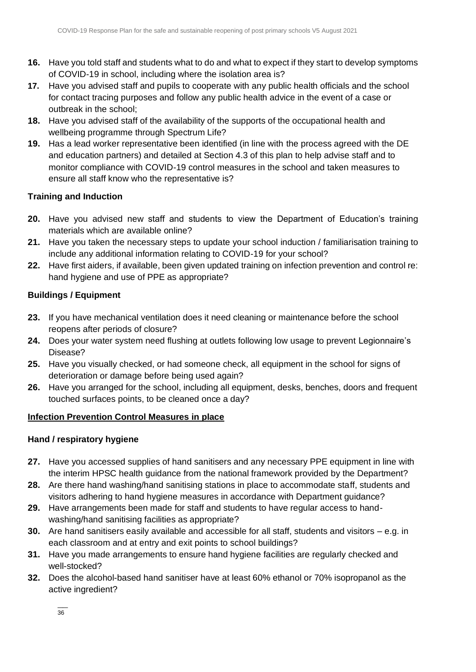- **16.** Have you told staff and students what to do and what to expect if they start to develop symptoms of COVID-19 in school, including where the isolation area is?
- **17.** Have you advised staff and pupils to cooperate with any public health officials and the school for contact tracing purposes and follow any public health advice in the event of a case or outbreak in the school;
- **18.** Have you advised staff of the availability of the supports of the occupational health and wellbeing programme through Spectrum Life?
- **19.** Has a lead worker representative been identified (in line with the process agreed with the DE and education partners) and detailed at Section 4.3 of this plan to help advise staff and to monitor compliance with COVID-19 control measures in the school and taken measures to ensure all staff know who the representative is?

#### **Training and Induction**

- **20.** Have you advised new staff and students to view the Department of Education's training materials which are available online?
- **21.** Have you taken the necessary steps to update your school induction / familiarisation training to include any additional information relating to COVID-19 for your school?
- **22.** Have first aiders, if available, been given updated training on infection prevention and control re: hand hygiene and use of PPE as appropriate?

#### **Buildings / Equipment**

- **23.** If you have mechanical ventilation does it need cleaning or maintenance before the school reopens after periods of closure?
- **24.** Does your water system need flushing at outlets following low usage to prevent Legionnaire's Disease?
- **25.** Have you visually checked, or had someone check, all equipment in the school for signs of deterioration or damage before being used again?
- **26.** Have you arranged for the school, including all equipment, desks, benches, doors and frequent touched surfaces points, to be cleaned once a day?

#### **Infection Prevention Control Measures in place**

#### **Hand / respiratory hygiene**

- **27.** Have you accessed supplies of hand sanitisers and any necessary PPE equipment in line with the interim HPSC health guidance from the national framework provided by the Department?
- **28.** Are there hand washing/hand sanitising stations in place to accommodate staff, students and visitors adhering to hand hygiene measures in accordance with Department guidance?
- **29.** Have arrangements been made for staff and students to have regular access to handwashing/hand sanitising facilities as appropriate?
- **30.** Are hand sanitisers easily available and accessible for all staff, students and visitors e.g. in each classroom and at entry and exit points to school buildings?
- **31.** Have you made arrangements to ensure hand hygiene facilities are regularly checked and well-stocked?
- **32.** Does the alcohol-based hand sanitiser have at least 60% ethanol or 70% isopropanol as the active ingredient?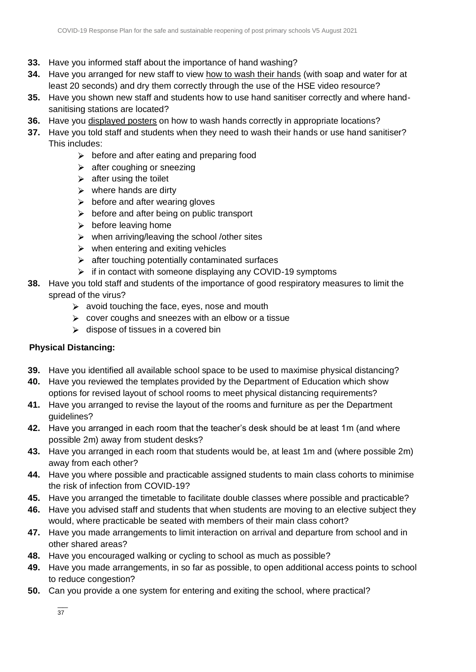- **33.** Have you informed staff about the importance of hand washing?
- **34.** Have you arranged for new staff to view [how to wash their hands](https://www2.hse.ie/wellbeing/how-to-wash-your-hands.html) (with soap and water for at least 20 seconds) and dry them correctly through the use of the HSE video resource?
- **35.** Have you shown new staff and students how to use hand sanitiser correctly and where handsanitising stations are located?
- **36.** Have you [displayed posters](https://www.gov.ie/en/collection/ee0781-covid-19-posters-for-public-use/) on how to wash hands correctly in appropriate locations?
- **37.** Have you told staff and students when they need to wash their hands or use hand sanitiser? This includes:
	- $\triangleright$  before and after eating and preparing food
	- $\triangleright$  after coughing or sneezing
	- $\triangleright$  after using the toilet
	- $\triangleright$  where hands are dirty
	- $\triangleright$  before and after wearing gloves
	- $\triangleright$  before and after being on public transport
	- $\triangleright$  before leaving home
	- $\triangleright$  when arriving/leaving the school /other sites
	- $\triangleright$  when entering and exiting vehicles
	- $\triangleright$  after touching potentially contaminated surfaces
	- $\triangleright$  if in contact with someone displaying any COVID-19 symptoms
- **38.** Have you told staff and students of the importance of good respiratory measures to limit the spread of the virus?
	- $\triangleright$  avoid touching the face, eyes, nose and mouth
	- $\triangleright$  cover coughs and sneezes with an elbow or a tissue
	- $\triangleright$  dispose of tissues in a covered bin

#### **Physical Distancing:**

- **39.** Have you identified all available school space to be used to maximise physical distancing?
- **40.** Have you reviewed the templates provided by the Department of Education which show options for revised layout of school rooms to meet physical distancing requirements?
- **41.** Have you arranged to revise the layout of the rooms and furniture as per the Department quidelines?
- **42.** Have you arranged in each room that the teacher's desk should be at least 1m (and where possible 2m) away from student desks?
- **43.** Have you arranged in each room that students would be, at least 1m and (where possible 2m) away from each other?
- **44.** Have you where possible and practicable assigned students to main class cohorts to minimise the risk of infection from COVID-19?
- **45.** Have you arranged the timetable to facilitate double classes where possible and practicable?
- **46.** Have you advised staff and students that when students are moving to an elective subject they would, where practicable be seated with members of their main class cohort?
- **47.** Have you made arrangements to limit interaction on arrival and departure from school and in other shared areas?
- **48.** Have you encouraged walking or cycling to school as much as possible?
- **49.** Have you made arrangements, in so far as possible, to open additional access points to school to reduce congestion?
- **50.** Can you provide a one system for entering and exiting the school, where practical?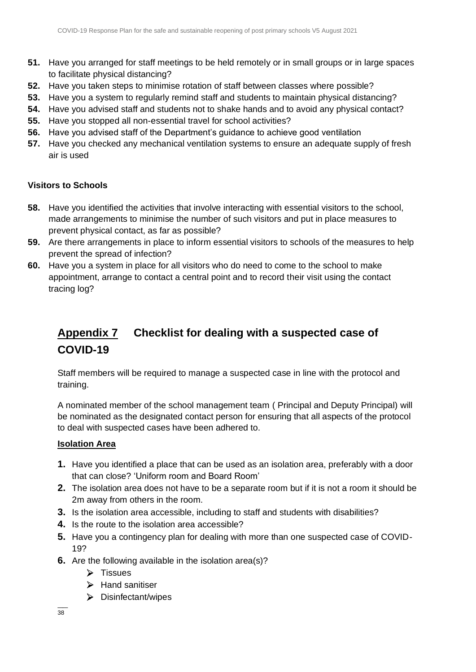- **51.** Have you arranged for staff meetings to be held remotely or in small groups or in large spaces to facilitate physical distancing?
- **52.** Have you taken steps to minimise rotation of staff between classes where possible?
- **53.** Have you a system to regularly remind staff and students to maintain physical distancing?
- **54.** Have you advised staff and students not to shake hands and to avoid any physical contact?
- **55.** Have you stopped all non-essential travel for school activities?
- **56.** Have you advised staff of the Department's guidance to achieve good ventilation
- **57.** Have you checked any mechanical ventilation systems to ensure an adequate supply of fresh air is used

#### **Visitors to Schools**

- **58.** Have you identified the activities that involve interacting with essential visitors to the school, made arrangements to minimise the number of such visitors and put in place measures to prevent physical contact, as far as possible?
- **59.** Are there arrangements in place to inform essential visitors to schools of the measures to help prevent the spread of infection?
- **60.** Have you a system in place for all visitors who do need to come to the school to make appointment, arrange to contact a central point and to record their visit using the contact tracing log?

## **Appendix 7 Checklist for dealing with a suspected case of COVID-19**

Staff members will be required to manage a suspected case in line with the protocol and training.

A nominated member of the school management team ( Principal and Deputy Principal) will be nominated as the designated contact person for ensuring that all aspects of the protocol to deal with suspected cases have been adhered to.

#### **Isolation Area**

- **1.** Have you identified a place that can be used as an isolation area, preferably with a door that can close? 'Uniform room and Board Room'
- **2.** The isolation area does not have to be a separate room but if it is not a room it should be 2m away from others in the room.
- **3.** Is the isolation area accessible, including to staff and students with disabilities?
- **4.** Is the route to the isolation area accessible?
- **5.** Have you a contingency plan for dealing with more than one suspected case of COVID-19?
- **6.** Are the following available in the isolation area(s)?
	- $\triangleright$  Tissues
	- $\triangleright$  Hand sanitiser
	- $\triangleright$  Disinfectant/wipes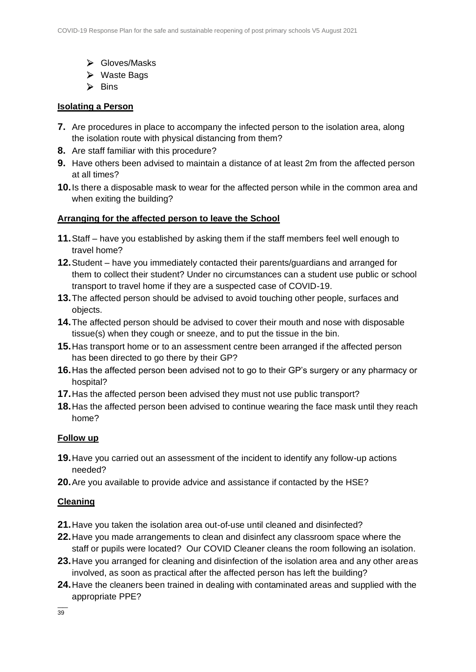- Siloves/Masks
- **▶** Waste Bags
- $\triangleright$  Bins

#### **Isolating a Person**

- **7.** Are procedures in place to accompany the infected person to the isolation area, along the isolation route with physical distancing from them?
- **8.** Are staff familiar with this procedure?
- **9.** Have others been advised to maintain a distance of at least 2m from the affected person at all times?
- **10.**Is there a disposable mask to wear for the affected person while in the common area and when exiting the building?

#### **Arranging for the affected person to leave the School**

- **11.**Staff have you established by asking them if the staff members feel well enough to travel home?
- **12.**Student have you immediately contacted their parents/guardians and arranged for them to collect their student? Under no circumstances can a student use public or school transport to travel home if they are a suspected case of COVID-19.
- **13.**The affected person should be advised to avoid touching other people, surfaces and objects.
- **14.**The affected person should be advised to cover their mouth and nose with disposable tissue(s) when they cough or sneeze, and to put the tissue in the bin.
- **15.**Has transport home or to an assessment centre been arranged if the affected person has been directed to go there by their GP?
- **16.**Has the affected person been advised not to go to their GP's surgery or any pharmacy or hospital?
- **17.**Has the affected person been advised they must not use public transport?
- **18.**Has the affected person been advised to continue wearing the face mask until they reach home?

#### **Follow up**

- **19.**Have you carried out an assessment of the incident to identify any follow-up actions needed?
- **20.**Are you available to provide advice and assistance if contacted by the HSE?

#### **Cleaning**

- **21.**Have you taken the isolation area out-of-use until cleaned and disinfected?
- **22.**Have you made arrangements to clean and disinfect any classroom space where the staff or pupils were located? Our COVID Cleaner cleans the room following an isolation.
- **23.**Have you arranged for cleaning and disinfection of the isolation area and any other areas involved, as soon as practical after the affected person has left the building?
- **24.**Have the cleaners been trained in dealing with contaminated areas and supplied with the appropriate PPE?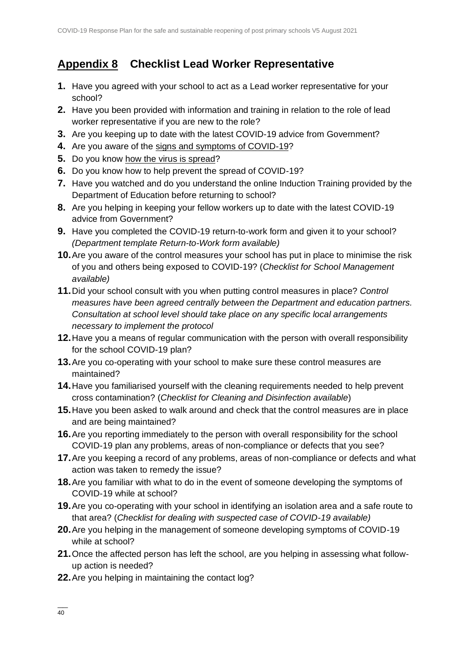## **Appendix 8 Checklist Lead Worker Representative**

- **1.** Have you agreed with your school to act as a Lead worker representative for your school?
- **2.** Have you been provided with information and training in relation to the role of lead worker representative if you are new to the role?
- **3.** Are you keeping up to date with the latest COVID-19 advice from Government?
- **4.** Are you aware of the [signs and symptoms of COVID-19?](https://www2.hse.ie/conditions/coronavirus/symptoms.html)
- **5.** Do you know [how the virus is spread?](https://www2.hse.ie/conditions/coronavirus/how-coronavirus-is-spread.html)
- **6.** Do you know how to help prevent the spread of COVID-19?
- **7.** Have you watched and do you understand the online Induction Training provided by the Department of Education before returning to school?
- **8.** Are you helping in keeping your fellow workers up to date with the latest COVID-19 advice from Government?
- **9.** Have you completed the COVID-19 return-to-work form and given it to your school? *(Department template Return-to-Work form available)*
- **10.**Are you aware of the control measures your school has put in place to minimise the risk of you and others being exposed to COVID-19? (*Checklist for School Management available)*
- **11.**Did your school consult with you when putting control measures in place? *Control measures have been agreed centrally between the Department and education partners. Consultation at school level should take place on any specific local arrangements necessary to implement the protocol*
- **12.**Have you a means of regular communication with the person with overall responsibility for the school COVID-19 plan?
- **13.**Are you co-operating with your school to make sure these control measures are maintained?
- **14.**Have you familiarised yourself with the cleaning requirements needed to help prevent cross contamination? (*Checklist for Cleaning and Disinfection available*)
- **15.**Have you been asked to walk around and check that the control measures are in place and are being maintained?
- **16.**Are you reporting immediately to the person with overall responsibility for the school COVID-19 plan any problems, areas of non-compliance or defects that you see?
- **17.**Are you keeping a record of any problems, areas of non-compliance or defects and what action was taken to remedy the issue?
- **18.**Are you familiar with what to do in the event of someone developing the symptoms of COVID-19 while at school?
- **19.**Are you co-operating with your school in identifying an isolation area and a safe route to that area? (*Checklist for dealing with suspected case of COVID-19 available)*
- **20.**Are you helping in the management of someone developing symptoms of COVID-19 while at school?
- **21.**Once the affected person has left the school, are you helping in assessing what followup action is needed?
- **22.**Are you helping in maintaining the contact log?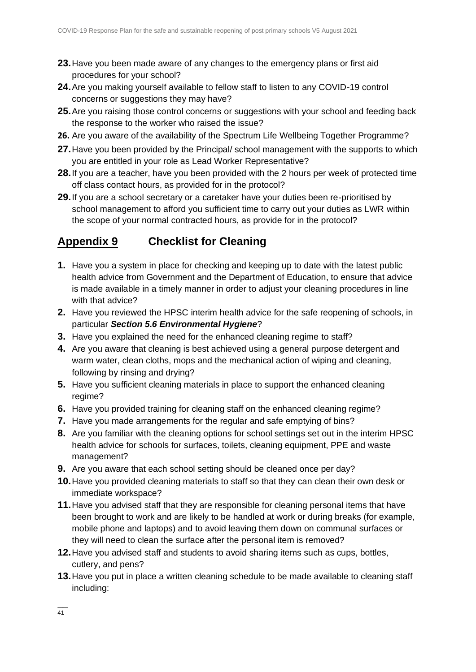- **23.**Have you been made aware of any changes to the emergency plans or first aid procedures for your school?
- **24.**Are you making yourself available to fellow staff to listen to any COVID-19 control concerns or suggestions they may have?
- **25.**Are you raising those control concerns or suggestions with your school and feeding back the response to the worker who raised the issue?
- **26.** Are you aware of the availability of the Spectrum Life Wellbeing Together Programme?
- **27.**Have you been provided by the Principal/ school management with the supports to which you are entitled in your role as Lead Worker Representative?
- **28.**If you are a teacher, have you been provided with the 2 hours per week of protected time off class contact hours, as provided for in the protocol?
- **29.**If you are a school secretary or a caretaker have your duties been re-prioritised by school management to afford you sufficient time to carry out your duties as LWR within the scope of your normal contracted hours, as provide for in the protocol?

## **Appendix 9 Checklist for Cleaning**

- **1.** Have you a system in place for checking and keeping up to date with the latest public health advice from Government and the Department of Education, to ensure that advice is made available in a timely manner in order to adjust your cleaning procedures in line with that advice?
- **2.** Have you reviewed the HPSC interim health advice for the safe reopening of schools, in particular *Section 5.6 Environmental Hygiene*?
- **3.** Have you explained the need for the enhanced cleaning regime to staff?
- **4.** Are you aware that cleaning is best achieved using a general purpose detergent and warm water, clean cloths, mops and the mechanical action of wiping and cleaning, following by rinsing and drying?
- **5.** Have you sufficient cleaning materials in place to support the enhanced cleaning regime?
- **6.** Have you provided training for cleaning staff on the enhanced cleaning regime?
- **7.** Have you made arrangements for the regular and safe emptying of bins?
- **8.** Are you familiar with the cleaning options for school settings set out in the interim HPSC health advice for schools for surfaces, toilets, cleaning equipment, PPE and waste management?
- **9.** Are you aware that each school setting should be cleaned once per day?
- **10.**Have you provided cleaning materials to staff so that they can clean their own desk or immediate workspace?
- **11.**Have you advised staff that they are responsible for cleaning personal items that have been brought to work and are likely to be handled at work or during breaks (for example, mobile phone and laptops) and to avoid leaving them down on communal surfaces or they will need to clean the surface after the personal item is removed?
- **12.**Have you advised staff and students to avoid sharing items such as cups, bottles, cutlery, and pens?
- **13.**Have you put in place a written cleaning schedule to be made available to cleaning staff including: